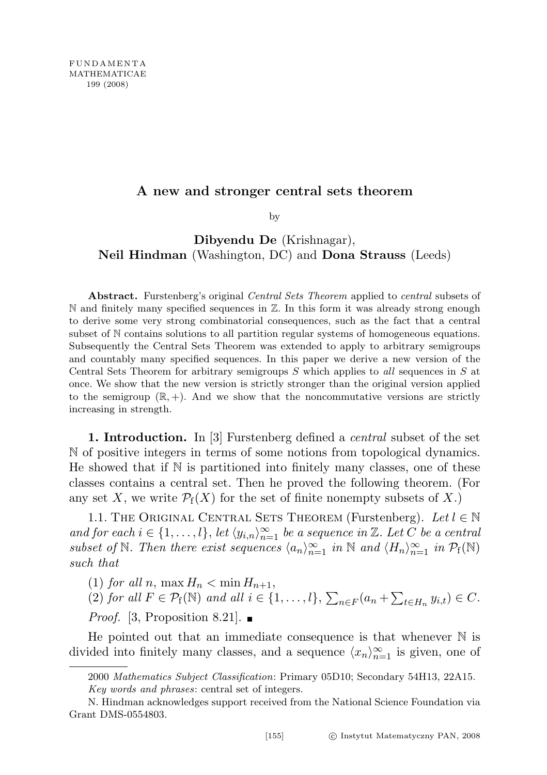## A new and stronger central sets theorem

by

Dibyendu De (Krishnagar), Neil Hindman (Washington, DC) and Dona Strauss (Leeds)

Abstract. Furstenberg's original *Central Sets Theorem* applied to *central* subsets of  $\mathbb N$  and finitely many specified sequences in  $\mathbb Z$ . In this form it was already strong enough to derive some very strong combinatorial consequences, such as the fact that a central subset of N contains solutions to all partition regular systems of homogeneous equations. Subsequently the Central Sets Theorem was extended to apply to arbitrary semigroups and countably many specified sequences. In this paper we derive a new version of the Central Sets Theorem for arbitrary semigroups  $S$  which applies to all sequences in  $S$  at once. We show that the new version is strictly stronger than the original version applied to the semigroup  $(\mathbb{R}, +)$ . And we show that the noncommutative versions are strictly increasing in strength.

1. Introduction. In [3] Furstenberg defined a *central* subset of the set N of positive integers in terms of some notions from topological dynamics. He showed that if  $\mathbb N$  is partitioned into finitely many classes, one of these classes contains a central set. Then he proved the following theorem. (For any set X, we write  $\mathcal{P}_f(X)$  for the set of finite nonempty subsets of X.)

1.1. THE ORIGINAL CENTRAL SETS THEOREM (Furstenberg). Let  $l \in \mathbb{N}$ and for each  $i \in \{1, \ldots, l\}$ , let  $\langle y_{i,n} \rangle_{n=1}^{\infty}$  be a sequence in  $\mathbb{Z}$ . Let C be a central subset of N. Then there exist sequences  $\langle a_n \rangle_{n=1}^{\infty}$  in N and  $\langle H_n \rangle_{n=1}^{\infty}$  in  $\mathcal{P}_f(\mathbb{N})$ such that

(1) for all n,  $\max H_n < \min H_{n+1}$ ,

(2) for all  $F \in \mathcal{P}_f(\mathbb{N})$  and all  $i \in \{1, \ldots, l\}, \sum_{n \in F} (a_n + \sum_{t \in H_n} y_{i,t}) \in C$ . *Proof.* [3, Proposition 8.21].  $\blacksquare$ 

He pointed out that an immediate consequence is that whenever  $\mathbb N$  is divided into finitely many classes, and a sequence  $\langle x_n \rangle_{n=1}^{\infty}$  is given, one of

<sup>2000</sup> Mathematics Subject Classification: Primary 05D10; Secondary 54H13, 22A15. Key words and phrases: central set of integers.

N. Hindman acknowledges support received from the National Science Foundation via Grant DMS-0554803.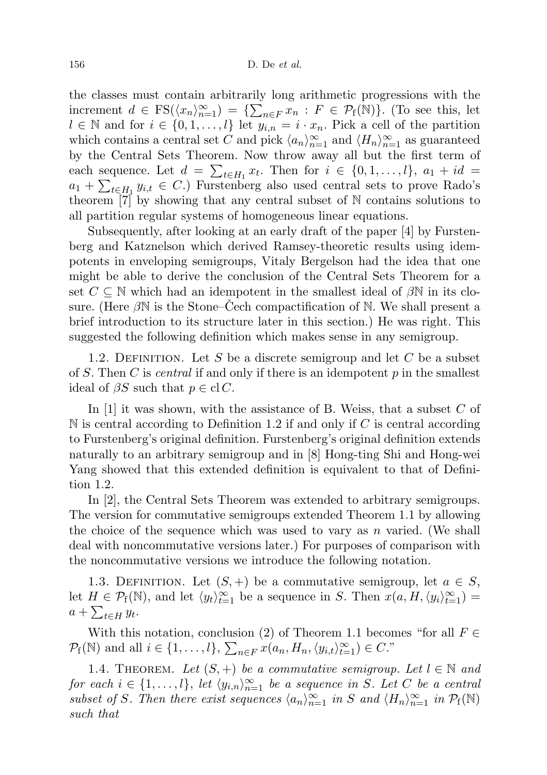the classes must contain arbitrarily long arithmetic progressions with the increment  $d \in FS(\langle x_n\rangle_{n=1}^{\infty}) = {\sum_{n \in F} x_n : F \in \mathcal{P}_{f}(\mathbb{N})}.$  (To see this, let  $l \in \mathbb{N}$  and for  $i \in \{0, 1, \ldots, l\}$  let  $y_{i,n} = i \cdot x_n$ . Pick a cell of the partition which contains a central set C and pick  $\langle a_n \rangle_{n=1}^{\infty}$  and  $\langle H_n \rangle_{n=1}^{\infty}$  as guaranteed by the Central Sets Theorem. Now throw away all but the first term of each sequence. Let  $d = \sum_{t \in H_1} x_t$ . Then for  $i \in \{0, 1, \ldots, l\}$ ,  $a_1 + id =$  $a_1 + \sum_{t \in H_1} y_{i,t} \in C.$  Furstenberg also used central sets to prove Rado's theorem  $\overline{7}$  by showing that any central subset of N contains solutions to all partition regular systems of homogeneous linear equations.

Subsequently, after looking at an early draft of the paper [4] by Furstenberg and Katznelson which derived Ramsey-theoretic results using idempotents in enveloping semigroups, Vitaly Bergelson had the idea that one might be able to derive the conclusion of the Central Sets Theorem for a set  $C \subseteq \mathbb{N}$  which had an idempotent in the smallest ideal of  $\beta\mathbb{N}$  in its closure. (Here  $\beta N$  is the Stone–Cech compactification of N. We shall present a brief introduction to its structure later in this section.) He was right. This suggested the following definition which makes sense in any semigroup.

1.2. DEFINITION. Let S be a discrete semigroup and let C be a subset of S. Then C is central if and only if there is an idempotent  $p$  in the smallest ideal of  $\beta S$  such that  $p \in \text{cl } C$ .

In  $[1]$  it was shown, with the assistance of B. Weiss, that a subset C of  $\mathbb N$  is central according to Definition 1.2 if and only if C is central according to Furstenberg's original definition. Furstenberg's original definition extends naturally to an arbitrary semigroup and in [8] Hong-ting Shi and Hong-wei Yang showed that this extended definition is equivalent to that of Definition 1.2.

In [2], the Central Sets Theorem was extended to arbitrary semigroups. The version for commutative semigroups extended Theorem 1.1 by allowing the choice of the sequence which was used to vary as n varied. (We shall deal with noncommutative versions later.) For purposes of comparison with the noncommutative versions we introduce the following notation.

1.3. DEFINITION. Let  $(S,+)$  be a commutative semigroup, let  $a \in S$ , let  $H \in \mathcal{P}_{f}(\mathbb{N})$ , and let  $\langle y_t \rangle_{t=1}^{\infty}$  be a sequence in S. Then  $x(a, H, \langle y_i \rangle_{t=1}^{\infty}) =$  $a + \sum_{t \in H} y_t.$ 

With this notation, conclusion (2) of Theorem 1.1 becomes "for all  $F \in$  $\mathcal{P}_{f}(\mathbb{N})$  and all  $i \in \{1, ..., l\}, \sum_{n \in F} x(a_n, H_n, \langle y_{i,t} \rangle_{t=1}^{\infty}) \in C$ ."

1.4. THEOREM. Let  $(S,+)$  be a commutative semigroup. Let  $l \in \mathbb{N}$  and for each  $i \in \{1, ..., l\}$ , let  $\langle y_{i,n} \rangle_{n=1}^{\infty}$  be a sequence in S. Let C be a central subset of S. Then there exist sequences  $\langle a_n \rangle_{n=1}^{\infty}$  in S and  $\langle H_n \rangle_{n=1}^{\infty}$  in  $\mathcal{P}_{f}(\mathbb{N})$ such that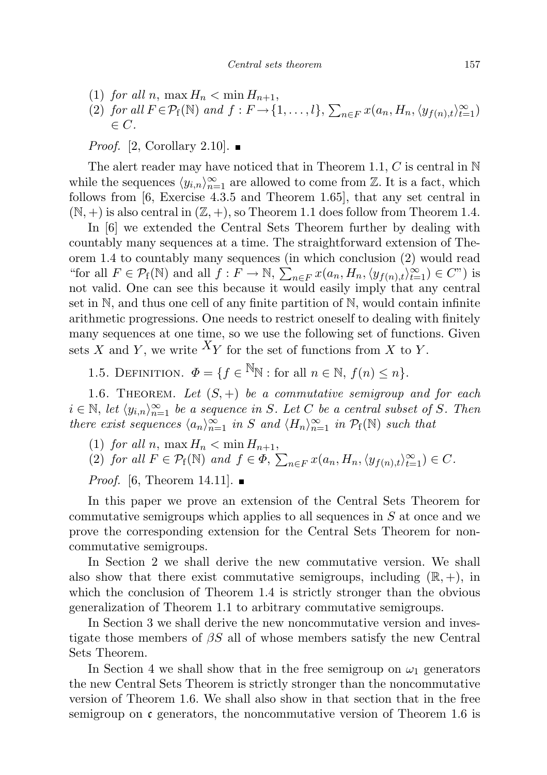- (1) for all n, max  $H_n < \min H_{n+1}$ ,
- (2) for all  $F \in \mathcal{P}_f(\mathbb{N})$  and  $f: F \to \{1, \ldots, l\}, \sum_{n \in F} x(a_n, H_n, \langle y_{f(n),t} \rangle_{t=1}^{\infty})$  $\in C$ .

*Proof.* [2, Corollary 2.10].

The alert reader may have noticed that in Theorem 1.1, C is central in  $\mathbb N$ while the sequences  $\langle y_{i,n} \rangle_{n=1}^{\infty}$  are allowed to come from Z. It is a fact, which follows from [6, Exercise 4.3.5 and Theorem 1.65], that any set central in  $(N, +)$  is also central in  $(\mathbb{Z}, +)$ , so Theorem 1.1 does follow from Theorem 1.4.

In [6] we extended the Central Sets Theorem further by dealing with countably many sequences at a time. The straightforward extension of Theorem 1.4 to countably many sequences (in which conclusion (2) would read "for all  $F \in \mathcal{P}_{f}(\mathbb{N})$  and all  $f: F \to \mathbb{N}, \sum_{n \in F} x(a_n, H_n, \langle y_{f(n),t} \rangle_{t=1}^{\infty}) \in C^{n}$  is not valid. One can see this because it would easily imply that any central set in N, and thus one cell of any finite partition of N, would contain infinite arithmetic progressions. One needs to restrict oneself to dealing with finitely many sequences at one time, so we use the following set of functions. Given sets X and Y, we write  $X_Y$  for the set of functions from X to Y.

1.5. DEFINITION.  $\Phi = \{f \in \mathbb{N} \mid \text{for all } n \in \mathbb{N}, f(n) \leq n\}.$ 

1.6. THEOREM. Let  $(S,+)$  be a commutative semigroup and for each  $i \in \mathbb{N}$ , let  $\langle y_{i,n} \rangle_{n=1}^{\infty}$  be a sequence in S. Let C be a central subset of S. Then there exist sequences  $\langle a_n \rangle_{n=1}^{\infty}$  in S and  $\langle H_n \rangle_{n=1}^{\infty}$  in  $\mathcal{P}_{f}(\mathbb{N})$  such that

- (1) for all n, max  $H_n < \min H_{n+1}$ ,
- (2) for all  $F \in \mathcal{P}_f(\mathbb{N})$  and  $f \in \Phi$ ,  $\sum_{n \in F} x(a_n, H_n, \langle y_{f(n),t} \rangle_{t=1}^{\infty}) \in C$ .

*Proof.* [6, Theorem 14.11].

In this paper we prove an extension of the Central Sets Theorem for commutative semigroups which applies to all sequences in  $S$  at once and we prove the corresponding extension for the Central Sets Theorem for noncommutative semigroups.

In Section 2 we shall derive the new commutative version. We shall also show that there exist commutative semigroups, including  $(\mathbb{R}, +)$ , in which the conclusion of Theorem 1.4 is strictly stronger than the obvious generalization of Theorem 1.1 to arbitrary commutative semigroups.

In Section 3 we shall derive the new noncommutative version and investigate those members of  $\beta S$  all of whose members satisfy the new Central Sets Theorem.

In Section 4 we shall show that in the free semigroup on  $\omega_1$  generators the new Central Sets Theorem is strictly stronger than the noncommutative version of Theorem 1.6. We shall also show in that section that in the free semigroup on  $\mathfrak c$  generators, the noncommutative version of Theorem 1.6 is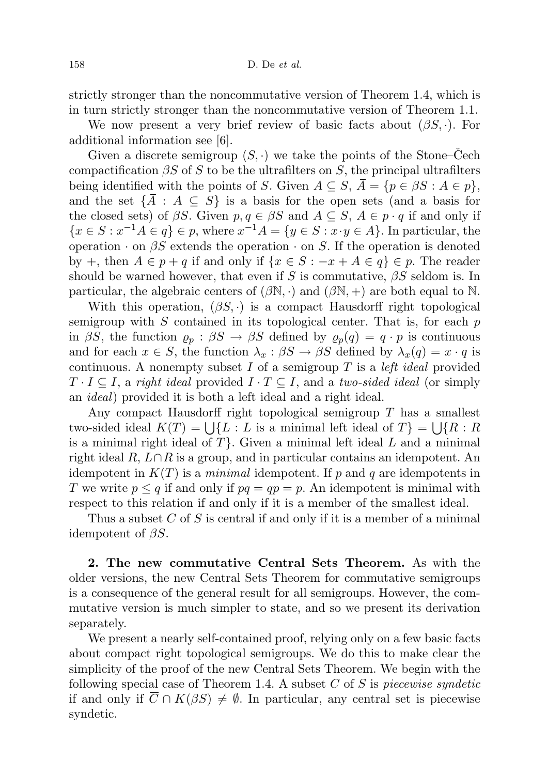strictly stronger than the noncommutative version of Theorem 1.4, which is in turn strictly stronger than the noncommutative version of Theorem 1.1.

We now present a very brief review of basic facts about  $(\beta S, \cdot)$ . For additional information see [6].

Given a discrete semigroup  $(S, \cdot)$  we take the points of the Stone–Cech compactification  $\beta S$  of S to be the ultrafilters on S, the principal ultrafilters being identified with the points of S. Given  $A \subseteq S$ ,  $A = \{p \in \beta S : A \in p\}$ , and the set  $\{\overline{A}: A \subseteq S\}$  is a basis for the open sets (and a basis for the closed sets) of  $\beta S$ . Given  $p, q \in \beta S$  and  $A \subseteq S$ ,  $A \in p \cdot q$  if and only if  ${x \in S : x^{-1}A \in q} \in p$ , where  $x^{-1}A = {y \in S : x \cdot y \in A}$ . In particular, the operation  $\cdot$  on  $\beta S$  extends the operation  $\cdot$  on S. If the operation is denoted by +, then  $A \in p + q$  if and only if  $\{x \in S : -x + A \in q\} \in p$ . The reader should be warned however, that even if S is commutative,  $\beta S$  seldom is. In particular, the algebraic centers of  $(\beta \mathbb{N}, \cdot)$  and  $(\beta \mathbb{N}, +)$  are both equal to N.

With this operation,  $(\beta S, \cdot)$  is a compact Hausdorff right topological semigroup with  $S$  contained in its topological center. That is, for each  $p$ in  $\beta S$ , the function  $\varrho_p : \beta S \to \beta S$  defined by  $\varrho_p(q) = q \cdot p$  is continuous and for each  $x \in S$ , the function  $\lambda_x : \beta S \to \beta S$  defined by  $\lambda_x(q) = x \cdot q$  is continuous. A nonempty subset I of a semigroup T is a *left ideal* provided  $T \cdot I \subseteq I$ , a right ideal provided  $I \cdot T \subseteq I$ , and a two-sided ideal (or simply an ideal) provided it is both a left ideal and a right ideal.

Any compact Hausdorff right topological semigroup T has a smallest two-sided ideal  $K(T) = \bigcup \{L : L$  is a minimal left ideal of  $T\} = \bigcup \{R : R\}$ is a minimal right ideal of  $T$ . Given a minimal left ideal  $L$  and a minimal right ideal R,  $L \cap R$  is a group, and in particular contains an idempotent. An idempotent in  $K(T)$  is a minimal idempotent. If p and q are idempotents in T we write  $p \leq q$  if and only if  $pq = qp = p$ . An idempotent is minimal with respect to this relation if and only if it is a member of the smallest ideal.

Thus a subset  $C$  of  $S$  is central if and only if it is a member of a minimal idempotent of  $\beta S$ .

2. The new commutative Central Sets Theorem. As with the older versions, the new Central Sets Theorem for commutative semigroups is a consequence of the general result for all semigroups. However, the commutative version is much simpler to state, and so we present its derivation separately.

We present a nearly self-contained proof, relying only on a few basic facts about compact right topological semigroups. We do this to make clear the simplicity of the proof of the new Central Sets Theorem. We begin with the following special case of Theorem 1.4. A subset  $C$  of  $S$  is piecewise syndetic if and only if  $\overline{C} \cap K(\beta S) \neq \emptyset$ . In particular, any central set is piecewise syndetic.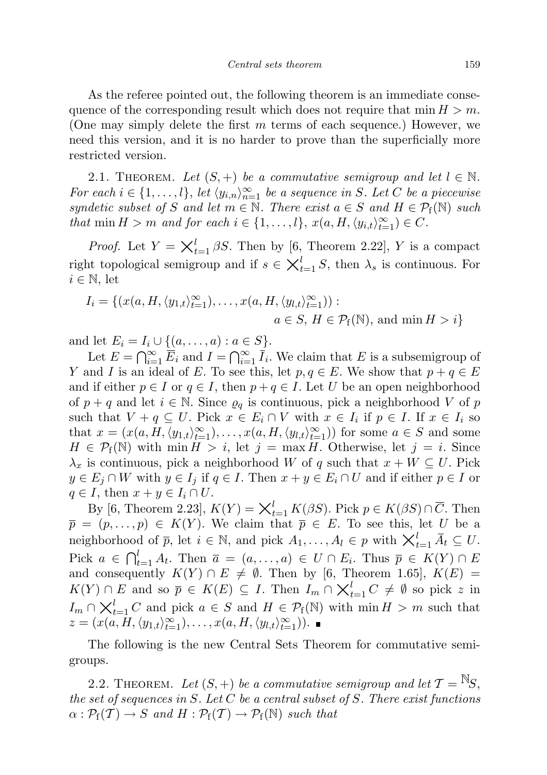As the referee pointed out, the following theorem is an immediate consequence of the corresponding result which does not require that  $\min H > m$ . (One may simply delete the first  $m$  terms of each sequence.) However, we need this version, and it is no harder to prove than the superficially more restricted version.

2.1. THEOREM. Let  $(S,+)$  be a commutative semigroup and let  $l \in \mathbb{N}$ . For each  $i \in \{1, \ldots, l\}$ , let  $\langle y_{i,n} \rangle_{n=1}^{\infty}$  be a sequence in S. Let C be a piecewise syndetic subset of S and let  $m \in \mathbb{N}$ . There exist  $a \in S$  and  $H \in \mathcal{P}_f(\mathbb{N})$  such that min  $H > m$  and for each  $i \in \{1, ..., l\}$ ,  $x(a, H, \langle y_{i,t} \rangle_{t=1}^{\infty}) \in C$ .

*Proof.* Let  $Y = \bigtimes_{t=1}^{l} \beta S$ . Then by [6, Theorem 2.22], Y is a compact right topological semigroup and if  $s \in \chi_{t=1}^l S$ , then  $\lambda_s$  is continuous. For  $i \in \mathbb{N}$ , let

$$
I_i = \{ (x(a, H, \langle y_{1,t} \rangle_{t=1}^{\infty}), \dots, x(a, H, \langle y_{l,t} \rangle_{t=1}^{\infty}) ) : a \in S, H \in \mathcal{P}_f(\mathbb{N}), \text{ and } \min H > i \}
$$

and let  $E_i = I_i \cup \{(a, \ldots, a) : a \in S\}.$ 

Let  $E = \bigcap_{i=1}^{\infty} \overline{E}_i$  and  $I = \bigcap_{i=1}^{\infty} \overline{I}_i$ . We claim that E is a subsemigroup of Y and I is an ideal of E. To see this, let  $p, q \in E$ . We show that  $p + q \in E$ and if either  $p \in I$  or  $q \in I$ , then  $p + q \in I$ . Let U be an open neighborhood of  $p + q$  and let  $i \in \mathbb{N}$ . Since  $\varrho_q$  is continuous, pick a neighborhood V of p such that  $V + q \subseteq U$ . Pick  $x \in E_i \cap V$  with  $x \in I_i$  if  $p \in I$ . If  $x \in I_i$  so that  $x = (x(a, H, \langle y_{1,t} \rangle_{t=1}^{\infty}), \ldots, x(a, H, \langle y_{l,t} \rangle_{t=1}^{\infty}))$  for some  $a \in S$  and some  $H \in \mathcal{P}_{f}(\mathbb{N})$  with  $\min H > i$ , let  $j = \max H$ . Otherwise, let  $j = i$ . Since  $\lambda_x$  is continuous, pick a neighborhood W of q such that  $x + W \subseteq U$ . Pick  $y \in E_j \cap W$  with  $y \in I_j$  if  $q \in I$ . Then  $x + y \in E_i \cap U$  and if either  $p \in I$  or  $q \in I$ , then  $x + y \in I_i \cap U$ .

By [6, Theorem 2.23],  $K(Y) = \bigtimes_{t=1}^{l} K(\beta S)$ . Pick  $p \in K(\beta S) \cap \overline{C}$ . Then  $\overline{p} = (p, \ldots, p) \in K(Y)$ . We claim that  $\overline{p} \in E$ . To see this, let U be a neighborhood of  $\bar{p}$ , let  $i \in \mathbb{N}$ , and pick  $A_1, \ldots, A_l \in p$  with  $\bigtimes_{t=1}^l \bar{A}_t \subseteq U$ . Pick  $a \in \bigcap_{t=1}^l A_t$ . Then  $\overline{a} = (a, \ldots, a) \in U \cap E_i$ . Thus  $\overline{p} \in K(Y) \cap E$ and consequently  $K(Y) \cap E \neq \emptyset$ . Then by [6, Theorem 1.65],  $K(E)$  =  $K(Y) \cap E$  and so  $\overline{p} \in K(E) \subseteq I$ . Then  $I_m \cap \mathsf{X}_{t=1}^l C \neq \emptyset$  so pick z in  $I_m \cap \bigtimes_{t=1}^l C$  and pick  $a \in S$  and  $H \in \mathcal{P}_f(\mathbb{N})$  with  $\min H > m$  such that  $z = (x(a, H, \langle y_{1,t} \rangle_{t=1}^{\infty}), \ldots, x(a, H, \langle y_{l,t} \rangle_{t=1}^{\infty})).$ 

The following is the new Central Sets Theorem for commutative semigroups.

2.2. THEOREM. Let  $(S, +)$  be a commutative semigroup and let  $\mathcal{T} = \mathbb{N}_S$ , the set of sequences in  $S$ . Let  $C$  be a central subset of  $S$ . There exist functions  $\alpha : \mathcal{P}_{f}(\mathcal{T}) \to S$  and  $H : \mathcal{P}_{f}(\mathcal{T}) \to \mathcal{P}_{f}(\mathbb{N})$  such that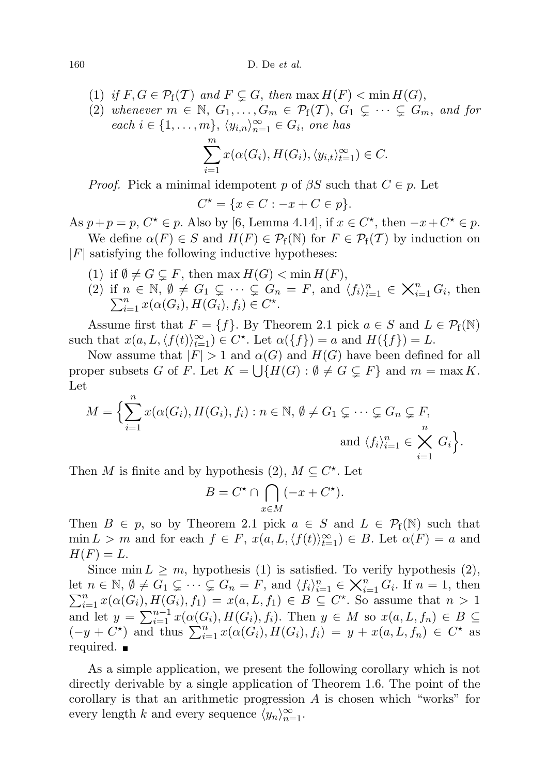160 D. De *et al.* 

- (1) if  $F, G \in \mathcal{P}_{f}(T)$  and  $F \subsetneq G$ , then  $\max H(F) < \min H(G)$ ,
- (2) whenever  $m \in \mathbb{N}$ ,  $G_1, \ldots, G_m \in \mathcal{P}_f(\mathcal{T})$ ,  $G_1 \subsetneq \cdots \subsetneq G_m$ , and for each  $i \in \{1, \ldots, m\}, \langle y_{i,n} \rangle_{n=1}^{\infty} \in G_i$ , one has

$$
\sum_{i=1}^{m} x(\alpha(G_i), H(G_i), \langle y_{i,t} \rangle_{t=1}^{\infty}) \in C.
$$

*Proof.* Pick a minimal idempotent p of  $\beta S$  such that  $C \in p$ . Let

$$
C^{\star}=\{x\in C:-x+C\in p\}.
$$

As  $p + p = p$ ,  $C^* \in p$ . Also by [6, Lemma 4.14], if  $x \in C^*$ , then  $-x + C^* \in p$ . We define  $\alpha(F) \in S$  and  $H(F) \in \mathcal{P}_{f}(\mathbb{N})$  for  $F \in \mathcal{P}_{f}(\mathcal{T})$  by induction on

- $|F|$  satisfying the following inductive hypotheses:
	- (1) if  $\emptyset \neq G \subseteq F$ , then max  $H(G) < \min H(F)$ ,
	- (2) if  $n \in \mathbb{N}, \emptyset \neq G_1 \subsetneq \cdots \subsetneq G_n = F$ , and  $\langle f_i \rangle_{i=1}^n \in \bigtimes_{i=1}^n G_i$ , then  $\sum_{i=1}^n x(\alpha(G_i), H(G_i), f_i) \in C^*$ .

Assume first that  $F = \{f\}$ . By Theorem 2.1 pick  $a \in S$  and  $L \in \mathcal{P}_f(\mathbb{N})$ such that  $x(a, L, \langle f(t) \rangle_{t=1}^{\infty}) \in C^{\star}$ . Let  $\alpha(\lbrace f \rbrace) = a$  and  $H(\lbrace f \rbrace) = L$ .

Now assume that  $|F| > 1$  and  $\alpha(G)$  and  $H(G)$  have been defined for all proper subsets G of F. Let  $K = \bigcup \{ H(G) : \emptyset \neq G \subsetneq F \}$  and  $m = \max K$ . Let

$$
M = \Big\{ \sum_{i=1}^{n} x(\alpha(G_i), H(G_i), f_i) : n \in \mathbb{N}, \emptyset \neq G_1 \subsetneq \cdots \subsetneq G_n \subsetneq F, \text{ and } \langle f_i \rangle_{i=1}^{n} \in \bigtimes_{i=1}^{n} G_i \Big\}.
$$

Then M is finite and by hypothesis  $(2)$ ,  $M \subseteq C^*$ . Let

$$
B = C^* \cap \bigcap_{x \in M} (-x + C^*).
$$

Then  $B \in p$ , so by Theorem 2.1 pick  $a \in S$  and  $L \in \mathcal{P}_f(\mathbb{N})$  such that  $\min L > m$  and for each  $f \in F$ ,  $x(a, L, \langle f(t) \rangle_{t=1}^{\infty}) \in B$ . Let  $\alpha(F) = a$  and  $H(F) = L.$ 

Since min  $L \geq m$ , hypothesis (1) is satisfied. To verify hypothesis (2), Let  $n \in \mathbb{N}, \emptyset \neq G_1 \subsetneq \cdots \subsetneq G_n = F$ , and  $\langle f_i \rangle_{i=1}^n \in \bigtimes_{i=1}^n G_i$  $\sum$  $a \in \mathbb{N}, \emptyset \neq G_1 \subsetneq \cdots \subsetneq G_n = F$ , and  $\langle f_i \rangle_{i=1}^n \in \mathsf{X}_{i=1}^n G_i$ . If  $n = 1$ , then  $\sum_{i=1}^n x(\alpha(G_i), H(G_i), f_1) = x(a, L, f_1) \in B \subseteq C^*$ . So assume that  $n > 1$ and let  $y = \sum_{i=1}^{n-1} x(\alpha(G_i), H(G_i), f_i)$ . Then  $y \in M$  so  $x(a, L, f_n) \in B \subseteq$  $(-y + C^*)$  and thus  $\sum_{i=1}^n x(\alpha(G_i), H(G_i), f_i) = y + x(a, L, f_n) \in C^*$  as required.

As a simple application, we present the following corollary which is not directly derivable by a single application of Theorem 1.6. The point of the corollary is that an arithmetic progression A is chosen which "works" for every length k and every sequence  $\langle y_n \rangle_{n=1}^{\infty}$ .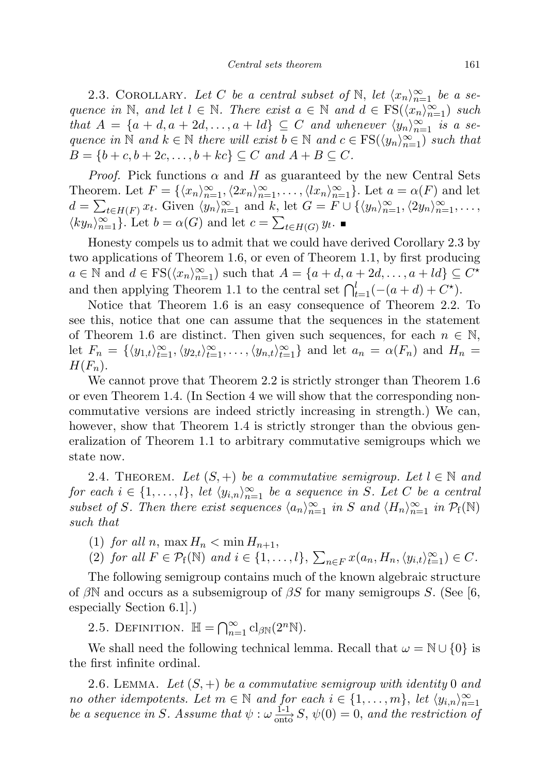2.3. COROLLARY. Let C be a central subset of N, let  $\langle x_n \rangle_{n=1}^{\infty}$  be a sequence in N, and let  $l \in \mathbb{N}$ . There exist  $a \in \mathbb{N}$  and  $d \in \text{FS}(\langle x_n \rangle_{n=1}^{\infty})$  such that  $A = \{a+d, a+2d, \ldots, a+ld\} \subseteq C$  and whenever  $\langle y_n \rangle_{n=1}^{\infty}$  is a sequence in  $\mathbb N$  and  $k \in \mathbb N$  there will exist  $b \in \mathbb N$  and  $c \in \mathrm{FS}(\langle y_n \rangle_{n=1}^{\infty})$  such that  $B = \{b+c, b+2c, \ldots, b+kc\} \subseteq C$  and  $A + B \subseteq C$ .

*Proof.* Pick functions  $\alpha$  and H as guaranteed by the new Central Sets Theorem. Let  $F = \{ \langle x_n \rangle_{n=1}^{\infty}, \langle 2x_n \rangle_{n=1}^{\infty}, \ldots, \langle ix_n \rangle_{n=1}^{\infty} \}$ . Let  $a = \alpha(F)$  and let  $d = \sum_{t \in H(F)} x_t$ . Given  $\langle y_n \rangle_{n=1}^{\infty}$  and k, let  $G = F \cup \{ \langle y_n \rangle_{n=1}^{\infty}, \langle 2y_n \rangle_{n=1}^{\infty}, \ldots,$  $\langle ky_n\rangle_{n=1}^{\infty}$ . Let  $b = \alpha(G)$  and let  $c = \sum_{t \in H(G)} y_t$ .

Honesty compels us to admit that we could have derived Corollary 2.3 by two applications of Theorem 1.6, or even of Theorem 1.1, by first producing  $a \in \mathbb{N}$  and  $d \in \text{FS}(\langle x_n \rangle_{n=1}^{\infty})$  such that  $A = \{a+d, a+2d, \ldots, a+d\} \subseteq C^*$ and then applying Theorem 1.1 to the central set  $\bigcap_{t=1}^{l}(-(a+d)+C^*)$ .

Notice that Theorem 1.6 is an easy consequence of Theorem 2.2. To see this, notice that one can assume that the sequences in the statement of Theorem 1.6 are distinct. Then given such sequences, for each  $n \in \mathbb{N}$ , let  $F_n = \{ \langle y_{1,t} \rangle_{t=1}^{\infty}, \langle y_{2,t} \rangle_{t=1}^{\infty}, \ldots, \langle y_{n,t} \rangle_{t=1}^{\infty} \}$  and let  $a_n = \alpha(F_n)$  and  $H_n =$  $H(F_n).$ 

We cannot prove that Theorem 2.2 is strictly stronger than Theorem 1.6 or even Theorem 1.4. (In Section 4 we will show that the corresponding noncommutative versions are indeed strictly increasing in strength.) We can, however, show that Theorem 1.4 is strictly stronger than the obvious generalization of Theorem 1.1 to arbitrary commutative semigroups which we state now.

2.4. THEOREM. Let  $(S,+)$  be a commutative semigroup. Let  $l \in \mathbb{N}$  and for each  $i \in \{1, ..., l\}$ , let  $\langle y_{i,n} \rangle_{n=1}^{\infty}$  be a sequence in S. Let C be a central subset of S. Then there exist sequences  $\langle a_n \rangle_{n=1}^{\infty}$  in S and  $\langle H_n \rangle_{n=1}^{\infty}$  in  $\mathcal{P}_{f}(\mathbb{N})$ such that

(1) for all n, max  $H_n < \min H_{n+1}$ ,

(2) for all  $F \in \mathcal{P}_f(\mathbb{N})$  and  $i \in \{1, \ldots, l\}, \sum_{n \in F} x(a_n, H_n, \langle y_{i,t} \rangle_{t=1}^{\infty}) \in C$ .

The following semigroup contains much of the known algebraic structure of  $\beta$ N and occurs as a subsemigroup of  $\beta S$  for many semigroups S. (See [6, especially Section 6.1].)

2.5. DEFINITION.  $\mathbb{H} = \bigcap_{n=1}^{\infty} \text{cl}_{\beta \mathbb{N}}(2^n \mathbb{N}).$ 

We shall need the following technical lemma. Recall that  $\omega = \mathbb{N} \cup \{0\}$  is the first infinite ordinal.

2.6. LEMMA. Let  $(S,+)$  be a commutative semigroup with identity 0 and no other idempotents. Let  $m \in \mathbb{N}$  and for each  $i \in \{1, ..., m\}$ , let  $\langle y_{i,n} \rangle_{n=1}^{\infty}$ <br>be a sequence in S. Assume that  $\psi : \omega \frac{1-1}{\text{onto }} S$ ,  $\psi(0) = 0$ , and the restriction of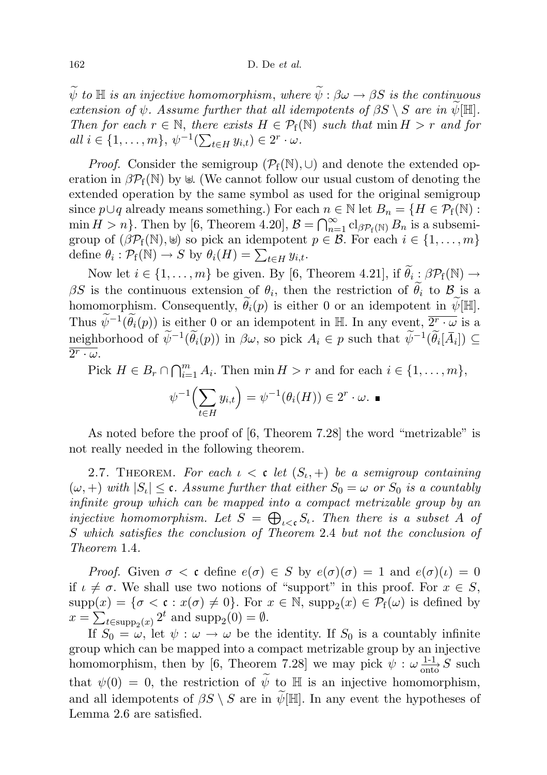$\widetilde{\psi}$  to  $\mathbb H$  is an injective homomorphism, where  $\widetilde{\psi}$  :  $\beta\omega \to \beta S$  is the continuous extension of  $\psi$ . Assume further that all idempotents of  $\beta S \setminus S$  are in  $\psi[\mathbb{H}]$ . Then for each  $r \in \mathbb{N}$ , there exists  $H \in \mathcal{P}_{f}(\mathbb{N})$  such that  $\min H > r$  and for all  $i \in \{1, ..., m\}, \ \psi^{-1}(\sum_{t \in H} y_{i,t}) \in 2^r \cdot \omega.$ 

*Proof.* Consider the semigroup  $(\mathcal{P}_f(\mathbb{N}), \cup)$  and denote the extended operation in  $\beta \mathcal{P}_f(\mathbb{N})$  by  $\mathcal{P}_f(\mathbb{N})$ . (We cannot follow our usual custom of denoting the extended operation by the same symbol as used for the original semigroup since  $p \cup q$  already means something.) For each  $n \in \mathbb{N}$  let  $B_n = \{H \in \mathcal{P}_f(\mathbb{N})$ :  $\min H > n$ . Then by [6, Theorem 4.20],  $\mathcal{B} = \bigcap_{n=1}^{\infty} cl_{\beta \mathcal{P}_{f}(\mathbb{N})} B_n$  is a subsemigroup of  $(\beta \mathcal{P}_f(\mathbb{N}), \mathcal{Y})$  so pick an idempotent  $p \in \mathcal{B}$ . For each  $i \in \{1, \ldots, m\}$ define  $\theta_i : \mathcal{P}_{f}(\mathbb{N}) \to S$  by  $\theta_i(H) = \sum_{t \in H} y_{i,t}$ .

Now let  $i \in \{1, \ldots, m\}$  be given. By [6, Theorem 4.21], if  $\widetilde{\theta}_i : \beta \mathcal{P}_{f}(\mathbb{N}) \to$ βS is the continuous extension of  $\theta_i$ , then the restriction of  $\theta_i$  to  $\beta$  is a homomorphism. Consequently,  $\widetilde{\theta}_i(p)$  is either 0 or an idempotent in  $\widetilde{\psi}[\mathbb{H}]$ . Thus  $\widetilde{\psi}^{-1}(\widetilde{\theta}_i(p))$  is either 0 or an idempotent in H. In any event,  $\overline{2^r \cdot \omega}$  is a neighborhood of  $\widetilde{\psi}^{-1}(\widetilde{\theta}_i(p))$  in  $\beta\omega$ , so pick  $A_i \in p$  such that  $\widetilde{\psi}^{-1}(\widetilde{\theta}_i[\overline{A}_i]) \subseteq$  $\overline{2^r\cdot\omega}$ .

Pick  $H \in B_r \cap \bigcap_{i=1}^m A_i$ . Then  $\min H > r$  and for each  $i \in \{1, \ldots, m\}$ ,

$$
\psi^{-1}\left(\sum_{t\in H} y_{i,t}\right) = \psi^{-1}(\theta_i(H)) \in 2^r \cdot \omega. \blacksquare
$$

As noted before the proof of [6, Theorem 7.28] the word "metrizable" is not really needed in the following theorem.

2.7. THEOREM. For each  $\iota < \mathfrak{c}$  let  $(S_{\iota}, +)$  be a semigroup containing  $(\omega, +)$  with  $|S_i| \leq \mathfrak{c}$ . Assume further that either  $S_0 = \omega$  or  $S_0$  is a countably infinite group which can be mapped into a compact metrizable group by an injective homomorphism. Let  $S = \bigoplus_{\iota < \mathfrak{c}} S_{\iota}$ . Then there is a subset A of S which satisfies the conclusion of Theorem 2.4 but not the conclusion of Theorem 1.4.

*Proof.* Given  $\sigma < \mathfrak{c}$  define  $e(\sigma) \in S$  by  $e(\sigma)(\sigma) = 1$  and  $e(\sigma)(\iota) = 0$ if  $\iota \neq \sigma$ . We shall use two notions of "support" in this proof. For  $x \in S$ ,  $supp(x) = \{\sigma < \mathfrak{c} : x(\sigma) \neq 0\}$ . For  $x \in \mathbb{N}$ ,  $supp_2(x) \in \mathcal{P}_f(\omega)$  is defined by  $x = \sum_{t \in \text{supp}_2(x)} 2^t$  and  $\text{supp}_2(0) = \emptyset$ .

If  $S_0 = \omega$ , let  $\psi : \omega \to \omega$  be the identity. If  $S_0$  is a countably infinite group which can be mapped into a compact metrizable group by an injective homomorphism, then by [6, Theorem 7.28] we may pick  $\psi : \omega \frac{1-1}{\text{onto }} S$  such that  $\psi(0) = 0$ , the restriction of  $\widetilde{\psi}$  to  $\mathbb{H}$  is an injective homomorphism, and all idempotents of  $\beta S \setminus S$  are in  $\widetilde{\psi}[\mathbb{H}]$ . In any event the hypotheses of Lemma 2.6 are satisfied.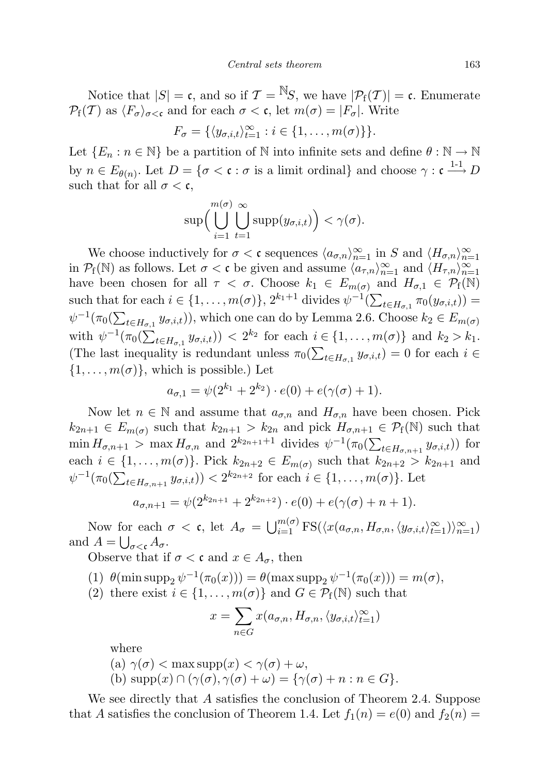Notice that  $|S| = \mathfrak{c}$ , and so if  $\mathcal{T} = {}^{\mathbb{N}}S$ , we have  $|\mathcal{P}_f(\mathcal{T})| = \mathfrak{c}$ . Enumerate  $\mathcal{P}_{f}(T)$  as  $\langle F_{\sigma}\rangle_{\sigma\leq \mathfrak{c}}$  and for each  $\sigma<\mathfrak{c}$ , let  $m(\sigma)=|F_{\sigma}|$ . Write

$$
F_{\sigma} = \{ \langle y_{\sigma,i,t} \rangle_{t=1}^{\infty} : i \in \{1, \ldots, m(\sigma)\} \}.
$$

Let  $\{E_n : n \in \mathbb{N}\}$  be a partition of N into infinite sets and define  $\theta : \mathbb{N} \to \mathbb{N}$ by  $n \in E_{\theta(n)}$ . Let  $D = \{ \sigma < \mathfrak{c} : \sigma \text{ is a limit ordinal} \}$  and choose  $\gamma : \mathfrak{c} \stackrel{1-1}{\longrightarrow} D$ such that for all  $\sigma < \mathfrak{c}$ ,

$$
\sup\Biggl(\bigcup_{i=1}^{m(\sigma)}\bigcup_{t=1}^{\infty}\mathrm{supp}(y_{\sigma,i,t})\Biggr)<\gamma(\sigma).
$$

We choose inductively for  $\sigma < \mathfrak{c}$  sequences  $\langle a_{\sigma,n} \rangle_{n=1}^{\infty}$  in S and  $\langle H_{\sigma,n} \rangle_{n=1}^{\infty}$ in  $\mathcal{P}_{f}(\mathbb{N})$  as follows. Let  $\sigma < \mathfrak{c}$  be given and assume  $\langle a_{\tau,n}\rangle_{n=1}^{\infty}$  and  $\langle H_{\tau,n}\rangle_{n=1}^{\infty}$ have been chosen for all  $\tau < \sigma$ . Choose  $k_1 \in E_{m(\sigma)}$  and  $H_{\sigma,1} \in \mathcal{P}_f(\mathbb{N})$ such that for each  $i \in \{1, \ldots, m(\sigma)\}, 2^{k_1+1}$  divides  $\psi^{-1}(\sum_{t \in H_{\sigma,1}} \pi_0(y_{\sigma,i,t})) =$  $\psi^{-1}(\pi_0(\sum_{t\in H_{\sigma,1}}y_{\sigma,i,t})),$  which one can do by Lemma 2.6. Choose  $k_2\in E_{m(\sigma)}$ with  $\psi^{-1}(\pi_0(\sum_{t \in H_{\sigma,1}} y_{\sigma,i,t})) < 2^{k_2}$  for each  $i \in \{1, ..., m(\sigma)\}\$  and  $k_2 > k_1$ . (The last inequality is redundant unless  $\pi_0(\sum_{t\in H_{\sigma,1}} y_{\sigma,i,t}) = 0$  for each  $i \in$  $\{1, \ldots, m(\sigma)\}\$ , which is possible.) Let

$$
a_{\sigma,1} = \psi(2^{k_1} + 2^{k_2}) \cdot e(0) + e(\gamma(\sigma) + 1).
$$

Now let  $n \in \mathbb{N}$  and assume that  $a_{\sigma,n}$  and  $H_{\sigma,n}$  have been chosen. Pick  $k_{2n+1} \in E_{m(\sigma)}$  such that  $k_{2n+1} > k_{2n}$  and pick  $H_{\sigma,n+1} \in \mathcal{P}_{f}(\mathbb{N})$  such that  $\min H_{\sigma,n+1} > \max H_{\sigma,n}$  and  $2^{k_{2n+1}+1}$  divides  $\psi^{-1}(\pi_0(\sum_{t \in H_{\sigma,n+1}} y_{\sigma,i,t}))$  for each  $i \in \{1, \ldots, m(\sigma)\}\.$  Pick  $k_{2n+2} \in E_{m(\sigma)}$  such that  $k_{2n+2} > k_{2n+1}$  and  $\psi^{-1}(\pi_0(\sum_{t\in H_{\sigma,n+1}} y_{\sigma,i,t})) < 2^{k_{2n+2}}$  for each  $i \in \{1,\ldots,m(\sigma)\}$ . Let

$$
a_{\sigma,n+1} = \psi(2^{k_{2n+1}} + 2^{k_{2n+2}}) \cdot e(0) + e(\gamma(\sigma) + n + 1).
$$

Now for each  $\sigma < \mathfrak{c}$ , let  $A_{\sigma} = \bigcup_{i=1}^{m(\sigma)} \text{FS}(\langle x(a_{\sigma,n}, H_{\sigma,n}, \langle y_{\sigma,i,t}\rangle_{t=1}^{\infty})\rangle_{n=1}^{\infty})$ and  $A = \bigcup_{\sigma < \mathfrak{c}} A_{\sigma}$ .

Observe that if  $\sigma < \mathfrak{c}$  and  $x \in A_{\sigma}$ , then

- (1)  $\theta(\min \text{supp}_2 \psi^{-1}(\pi_0(x))) = \theta(\max \text{supp}_2 \psi^{-1}(\pi_0(x))) = m(\sigma),$
- (2) there exist  $i \in \{1, \ldots, m(\sigma)\}\$  and  $G \in \mathcal{P}_{f}(\mathbb{N})$  such that

$$
x = \sum_{n \in G} x(a_{\sigma,n}, H_{\sigma,n}, \langle y_{\sigma,i,t} \rangle_{t=1}^{\infty})
$$

where

- (a)  $\gamma(\sigma) < \max \text{supp}(x) < \gamma(\sigma) + \omega$ ,
- (b)  $\text{supp}(x) \cap (\gamma(\sigma), \gamma(\sigma) + \omega) = {\gamma(\sigma) + n : n \in G}.$

We see directly that A satisfies the conclusion of Theorem 2.4. Suppose that A satisfies the conclusion of Theorem 1.4. Let  $f_1(n) = e(0)$  and  $f_2(n) =$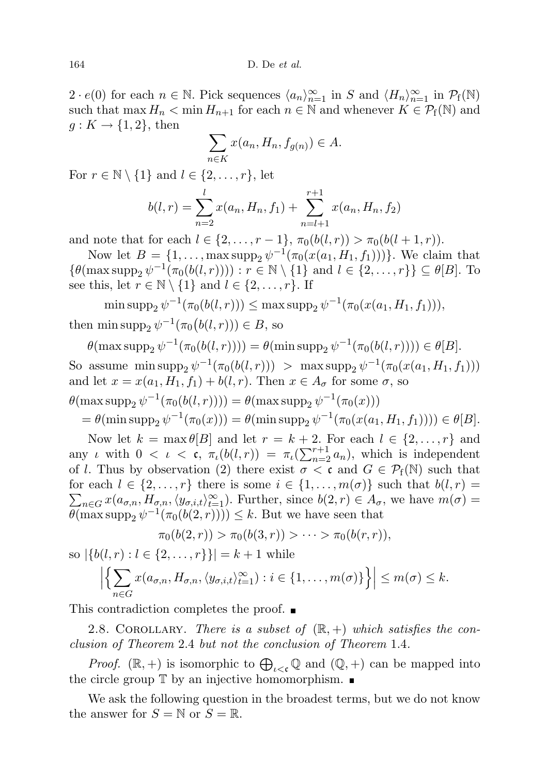164 D. De *et al.* 

 $2 \cdot e(0)$  for each  $n \in \mathbb{N}$ . Pick sequences  $\langle a_n \rangle_{n=1}^{\infty}$  in S and  $\langle H_n \rangle_{n=1}^{\infty}$  in  $\mathcal{P}_{f}(\mathbb{N})$ such that max  $H_n < \min H_{n+1}$  for each  $n \in \mathbb{N}$  and whenever  $K \in \mathcal{P}_f(\mathbb{N})$  and  $g: K \to \{1,2\}$ , then

$$
\sum_{n \in K} x(a_n, H_n, f_{g(n)}) \in A.
$$

For  $r \in \mathbb{N} \setminus \{1\}$  and  $l \in \{2, \ldots, r\}$ , let

$$
b(l,r) = \sum_{n=2}^{l} x(a_n, H_n, f_1) + \sum_{n=l+1}^{r+1} x(a_n, H_n, f_2)
$$

and note that for each  $l \in \{2, ..., r-1\}, \pi_0(b(l, r)) > \pi_0(b(l + 1, r)).$ 

Now let  $B = \{1, ..., \max \text{supp}_2 \psi^{-1}(\pi_0(x(a_1, H_1, f_1)))\}$ . We claim that  $\{\theta(\max \text{supp}_2 \ \psi^{-1}(\pi_0(b(l,r)))) : r \in \mathbb{N} \setminus \{1\} \text{ and } l \in \{2,\ldots,r\}\} \subseteq \theta[B].$  To see this, let  $r \in \mathbb{N} \setminus \{1\}$  and  $l \in \{2, \ldots, r\}$ . If

 $\min \text{supp}_2 \, \psi^{-1}(\pi_0(b(l,r))) \leq \max \text{supp}_2 \, \psi^{-1}(\pi_0(x(a_1, H_1, f_1))),$ then min supp<sub>2</sub>  $\psi^{-1}(\pi_0(b(l,r))) \in B$ , so

 $\theta(\max \text{supp}_2 \ \psi^{-1}(\pi_0(b(l,r)))) = \theta(\min \text{supp}_2 \ \psi^{-1}(\pi_0(b(l,r)))) \in \theta[B].$ 

So assume  $\min \text{supp}_2 \psi^{-1}(\pi_0(b(l,r))) > \max \text{supp}_2 \psi^{-1}(\pi_0(x(a_1, H_1, f_1)))$ and let  $x = x(a_1, H_1, f_1) + b(l, r)$ . Then  $x \in A_{\sigma}$  for some  $\sigma$ , so

$$
\theta(\max \text{supp}_2 \ \psi^{-1}(\pi_0(b(l,r)))) = \theta(\max \text{supp}_2 \ \psi^{-1}(\pi_0(x))) \n= \theta(\min \text{supp}_2 \ \psi^{-1}(\pi_0(x))) = \theta(\min \text{supp}_2 \ \psi^{-1}(\pi_0(x(a_1, H_1, f_1)))) \in \theta[B].
$$

Now let  $k = \max \theta[B]$  and let  $r = k + 2$ . For each  $l \in \{2, ..., r\}$  and any *ι* with  $0 < \iota < \mathfrak{c}, \pi_{\iota}(b(l,r)) = \pi_{\iota}(\sum_{n=2}^{r+1} a_n)$ , which is independent of l. Thus by observation (2) there exist  $\sigma < \mathfrak{c}$  and  $G \in \mathcal{P}_{f}(\mathbb{N})$  such that  $\sum_{n\in G} x(a_{\sigma,n}, H_{\sigma,n}, \langle y_{\sigma,i,t}\rangle_{t=1}^{\infty})$ . Further, since  $b(2,r) \in A_{\sigma}$ , we have  $m(\sigma) =$ for each  $l \in \{2, ..., r\}$  there is some  $i \in \{1, ..., m(\sigma)\}\$  such that  $b(l, r) =$  $\theta(\max \text{supp}_2 \psi^{-1}(\pi_0(b(2,r)))) \leq k$ . But we have seen that

$$
\pi_0(b(2,r)) > \pi_0(b(3,r)) > \cdots > \pi_0(b(r,r)),
$$

so  $|\{b(l, r) : l \in \{2, ..., r\}\}| = k + 1$  while

$$
\left|\left\{\sum_{n\in G}x(a_{\sigma,n},H_{\sigma,n},\langle y_{\sigma,i,t}\rangle_{t=1}^{\infty}):i\in\{1,\ldots,m(\sigma)\}\right\}\right|\leq m(\sigma)\leq k.
$$

This contradiction completes the proof.

2.8. COROLLARY. There is a subset of  $(\mathbb{R}, +)$  which satisfies the conclusion of Theorem 2.4 but not the conclusion of Theorem 1.4.

*Proof.*  $(\mathbb{R}, +)$  is isomorphic to  $\bigoplus_{\iota < \mathfrak{c}} \mathbb{Q}$  and  $(\mathbb{Q}, +)$  can be mapped into the circle group  $\mathbb T$  by an injective homomorphism.

We ask the following question in the broadest terms, but we do not know the answer for  $S = N$  or  $S = \mathbb{R}$ .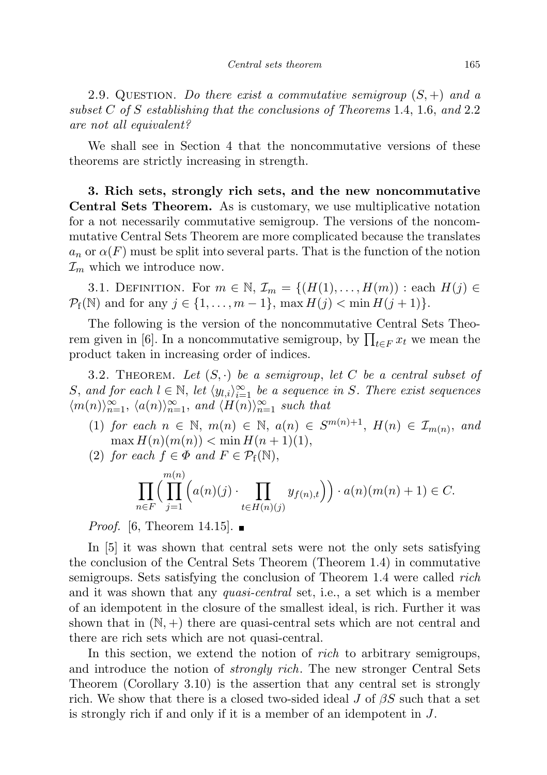2.9. QUESTION. Do there exist a commutative semigroup  $(S,+)$  and a subset C of S establishing that the conclusions of Theorems 1.4, 1.6, and 2.2 are not all equivalent?

We shall see in Section 4 that the noncommutative versions of these theorems are strictly increasing in strength.

3. Rich sets, strongly rich sets, and the new noncommutative Central Sets Theorem. As is customary, we use multiplicative notation for a not necessarily commutative semigroup. The versions of the noncommutative Central Sets Theorem are more complicated because the translates  $a_n$  or  $\alpha(F)$  must be split into several parts. That is the function of the notion  $\mathcal{I}_m$  which we introduce now.

3.1. DEFINITION. For  $m \in \mathbb{N}$ ,  $\mathcal{I}_m = \{(H(1), \ldots, H(m)) : \text{each } H(j) \in$  $\mathcal{P}_{f}(\mathbb{N})$  and for any  $j \in \{1, ..., m-1\}$ , max  $H(j) < \min H(j+1)\}.$ 

The following is the version of the noncommutative Central Sets Theorem given in [6]. In a noncommutative semigroup, by  $\prod_{t\in F} x_t$  we mean the product taken in increasing order of indices.

3.2. THEOREM. Let  $(S, \cdot)$  be a semigroup, let C be a central subset of S, and for each  $l \in \mathbb{N}$ , let  $\langle y_{l,i} \rangle_{i=1}^{\infty}$  be a sequence in S. There exist sequences  $\langle m(n) \rangle_{n=1}^{\infty}$ ,  $\langle a(n) \rangle_{n=1}^{\infty}$ , and  $\langle H(n) \rangle_{n=1}^{\infty}$  such that

- (1) for each  $n \in \mathbb{N}$ ,  $m(n) \in \mathbb{N}$ ,  $a(n) \in S^{m(n)+1}$ ,  $H(n) \in \mathcal{I}_{m(n)}$ , and  $\max H(n)(m(n)) < \min H(n+1)(1),$
- (2) for each  $f \in \Phi$  and  $F \in \mathcal{P}_{f}(\mathbb{N}),$

$$
\prod_{n \in F} \left( \prod_{j=1}^{m(n)} \left( a(n)(j) \cdot \prod_{t \in H(n)(j)} y_{f(n),t} \right) \right) \cdot a(n)(m(n) + 1) \in C.
$$

*Proof.* [6, Theorem 14.15].  $\blacksquare$ 

In [5] it was shown that central sets were not the only sets satisfying the conclusion of the Central Sets Theorem (Theorem 1.4) in commutative semigroups. Sets satisfying the conclusion of Theorem 1.4 were called *rich* and it was shown that any *quasi-central* set, i.e., a set which is a member of an idempotent in the closure of the smallest ideal, is rich. Further it was shown that in  $(N,+)$  there are quasi-central sets which are not central and there are rich sets which are not quasi-central.

In this section, we extend the notion of *rich* to arbitrary semigroups, and introduce the notion of *strongly rich*. The new stronger Central Sets Theorem (Corollary 3.10) is the assertion that any central set is strongly rich. We show that there is a closed two-sided ideal J of  $\beta S$  such that a set is strongly rich if and only if it is a member of an idempotent in J.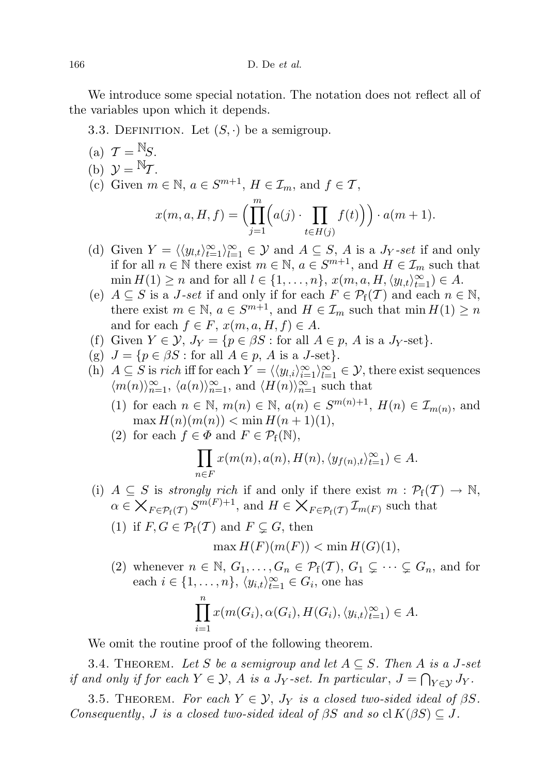We introduce some special notation. The notation does not reflect all of the variables upon which it depends.

3.3. DEFINITION. Let  $(S, \cdot)$  be a semigroup.

- (a)  $\mathcal{T} = {}^{\mathbb{N}}S$ . (b)  $\mathcal{Y} = \mathbb{N}T$ . (c) Given  $m \in \mathbb{N}$ ,  $a \in S^{m+1}$ ,  $H \in \mathcal{I}_m$ , and  $f \in \mathcal{T}$ ,  $x(m, a, H, f) = \left(\prod^{m} \right)$  $j=1$  $\big(a(j)\cdot\prod$  $t \in H(j)$  $f(t)\big)\bigg) \cdot a(m+1).$
- (d) Given  $Y = \langle \langle y_{l,t} \rangle_{t=1}^{\infty} \rangle_{l=1}^{\infty} \in \mathcal{Y}$  and  $A \subseteq S$ , A is a  $J_Y\text{-}set$  if and only if for all  $n \in \mathbb{N}$  there exist  $m \in \mathbb{N}$ ,  $a \in S^{m+1}$ , and  $H \in \mathcal{I}_m$  such that  $\min H(1) \geq n$  and for all  $l \in \{1, \ldots, n\}$ ,  $x(m, a, H, \langle y_{l,t} \rangle_{t=1}^{\infty}) \in A$ .
- (e)  $A \subseteq S$  is a *J-set* if and only if for each  $F \in \mathcal{P}_{f}(\mathcal{T})$  and each  $n \in \mathbb{N}$ , there exist  $m \in \mathbb{N}$ ,  $a \in S^{m+1}$ , and  $H \in \mathcal{I}_m$  such that  $\min H(1) \geq n$ and for each  $f \in F$ ,  $x(m, a, H, f) \in A$ .
- (f) Given  $Y \in \mathcal{Y}$ ,  $J_Y = \{p \in \beta S : \text{for all } A \in p, A \text{ is a } J_Y \text{-set}\}.$
- (g)  $J = \{p \in \beta S : \text{for all } A \in p, A \text{ is a } J\text{-set}\}.$
- (h)  $A \subseteq S$  is rich iff for each  $Y = \langle \langle y_{l,i} \rangle_{i=1}^{\infty} \rangle_{l=1}^{\infty} \in \mathcal{Y}$ , there exist sequences  $\langle m(n) \rangle_{n=1}^{\infty}$ ,  $\langle a(n) \rangle_{n=1}^{\infty}$ , and  $\langle H(n) \rangle_{n=1}^{\infty}$  such that
	- (1) for each  $n \in \mathbb{N}$ ,  $m(n) \in \mathbb{N}$ ,  $a(n) \in S^{m(n)+1}$ ,  $H(n) \in \mathcal{I}_{m(n)}$ , and  $\max H(n)(m(n)) < \min H(n+1)(1),$

(2) for each 
$$
f \in \Phi
$$
 and  $F \in \mathcal{P}_f(\mathbb{N}),$ 

$$
\prod_{n \in F} x(m(n), a(n), H(n), \langle y_{f(n), t} \rangle_{t=1}^{\infty}) \in A.
$$

- (i)  $A \subseteq S$  is *strongly rich* if and only if there exist  $m : \mathcal{P}_f(\mathcal{T}) \to \mathbb{N}$ ,  $\alpha \in X_{F \in \mathcal{P}_{f}(\mathcal{T})} S^{m(F)+1}$ , and  $H \in X_{F \in \mathcal{P}_{f}(\mathcal{T})} \mathcal{I}_{m(F)}$  such that
	- (1) if  $F, G \in \mathcal{P}_f(\mathcal{T})$  and  $F \subseteq G$ , then

 $\max H(F)(m(F)) < \min H(G)(1),$ 

(2) whenever  $n \in \mathbb{N}$ ,  $G_1, \ldots, G_n \in \mathcal{P}_f(\mathcal{T})$ ,  $G_1 \subsetneq \cdots \subsetneq G_n$ , and for each  $i \in \{1, ..., n\}, \langle y_{i,t} \rangle_{t=1}^{\infty} \in G_i$ , one has

$$
\prod_{i=1}^{n} x(m(G_i), \alpha(G_i), H(G_i), \langle y_{i,t} \rangle_{t=1}^{\infty}) \in A.
$$

We omit the routine proof of the following theorem.

3.4. THEOREM. Let S be a semigroup and let  $A \subseteq S$ . Then A is a J-set if and only if for each  $Y \in \mathcal{Y}$ , A is a J<sub>Y</sub>-set. In particular,  $J = \bigcap_{Y \in \mathcal{Y}} J_Y$ .

3.5. THEOREM. For each  $Y \in \mathcal{Y}$ ,  $J_Y$  is a closed two-sided ideal of  $\beta S$ . Consequently, J is a closed two-sided ideal of  $\beta S$  and so cl  $K(\beta S) \subseteq J$ .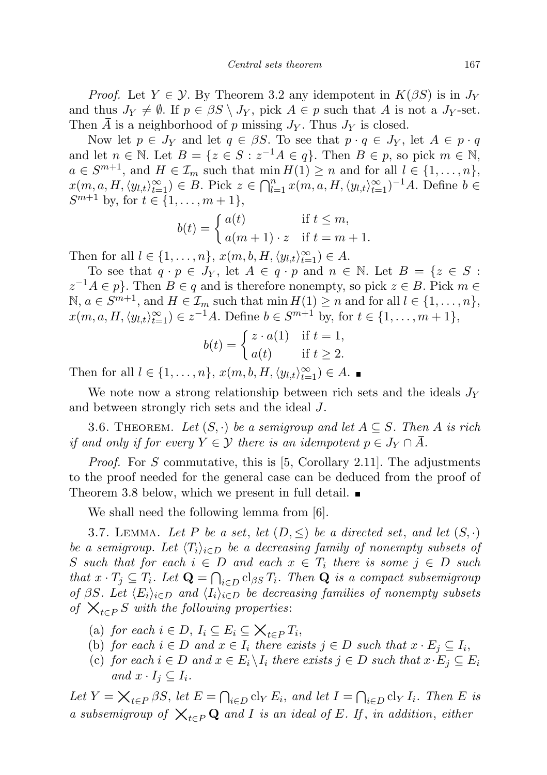*Proof.* Let  $Y \in \mathcal{Y}$ . By Theorem 3.2 any idempotent in  $K(\beta S)$  is in  $J_Y$ and thus  $J_Y \neq \emptyset$ . If  $p \in \beta S \setminus J_Y$ , pick  $A \in p$  such that A is not a  $J_Y$ -set. Then  $\overline{A}$  is a neighborhood of p missing  $J_Y$ . Thus  $J_Y$  is closed.

Now let  $p \in J_Y$  and let  $q \in \beta S$ . To see that  $p \cdot q \in J_Y$ , let  $A \in p \cdot q$ and let  $n \in \mathbb{N}$ . Let  $B = \{z \in S : z^{-1}A \in q\}$ . Then  $B \in p$ , so pick  $m \in \mathbb{N}$ ,  $a \in S^{m+1}$ , and  $H \in \mathcal{I}_m$  such that  $\min H(1) \geq n$  and for all  $l \in \{1, \ldots, n\}$ ,  $x(m, a, H, \langle y_{l,t}\rangle_{t=1}^{\infty}) \in B$ . Pick  $z \in \bigcap_{l=1}^{n} x(m, a, H, \langle y_{l,t}\rangle_{t=1}^{\infty})^{-1}A$ . Define  $b \in$  $S^{m+1}$  by, for  $t \in \{1, ..., m+1\}$ ,

$$
b(t) = \begin{cases} a(t) & \text{if } t \le m, \\ a(m+1) \cdot z & \text{if } t = m+1. \end{cases}
$$

Then for all  $l \in \{1, \ldots, n\}$ ,  $x(m, b, H, \langle y_{l,t} \rangle_{t=1}^{\infty}) \in A$ .

To see that  $q \cdot p \in J_Y$ , let  $A \in q \cdot p$  and  $n \in \mathbb{N}$ . Let  $B = \{z \in S :$  $z^{-1}A \in p$ . Then  $B \in q$  and is therefore nonempty, so pick  $z \in B$ . Pick  $m \in$  $\mathbb{N}, a \in S^{m+1}$ , and  $H \in \mathcal{I}_m$  such that  $\min H(1) \geq n$  and for all  $l \in \{1, \ldots, n\}$ ,  $x(m, a, H, \langle y_{l,t} \rangle_{t=1}^{\infty}) \in z^{-1}A$ . Define  $b \in S^{m+1}$  by, for  $t \in \{1, ..., m+1\}$ ,

$$
b(t) = \begin{cases} z \cdot a(1) & \text{if } t = 1, \\ a(t) & \text{if } t \ge 2. \end{cases}
$$

Then for all  $l \in \{1, \ldots, n\}$ ,  $x(m, b, H, \langle y_{l,t} \rangle_{t=1}^{\infty}) \in A$ .

We note now a strong relationship between rich sets and the ideals  $J<sub>Y</sub>$ and between strongly rich sets and the ideal J.

3.6. THEOREM. Let  $(S, \cdot)$  be a semigroup and let  $A \subseteq S$ . Then A is rich if and only if for every  $Y \in \mathcal{Y}$  there is an idempotent  $p \in J_Y \cap \overline{A}$ .

*Proof.* For S commutative, this is [5, Corollary 2.11]. The adjustments to the proof needed for the general case can be deduced from the proof of Theorem 3.8 below, which we present in full detail.

We shall need the following lemma from [6].

3.7. LEMMA. Let P be a set, let  $(D, \leq)$  be a directed set, and let  $(S, \cdot)$ be a semigroup. Let  $\langle T_i \rangle_{i \in D}$  be a decreasing family of nonempty subsets of S such that for each  $i \in D$  and each  $x \in T_i$  there is some  $j \in D$  such that  $x \cdot T_j \subseteq T_i$ . Let  $\mathbf{Q} = \bigcap_{i \in D} cl_{\beta S} T_i$ . Then  $\mathbf{Q}$  is a compact subsemigroup of  $\beta S$ . Let  $\langle E_i \rangle_{i \in D}$  and  $\langle I_i \rangle_{i \in D}$  be decreasing families of nonempty subsets of  $X_{t\in P}$  S with the following properties:

- (a) for each  $i \in D$ ,  $I_i \subseteq E_i \subseteq \bigtimes_{t \in P} T_i$ ,
- (b) for each  $i \in D$  and  $x \in I_i$  there exists  $j \in D$  such that  $x \cdot E_j \subseteq I_i$ ,
- (c) for each  $i \in D$  and  $x \in E_i \backslash I_i$  there exists  $j \in D$  such that  $x \cdot E_j \subseteq E_i$ and  $x \cdot I_j \subseteq I_i$ .

Let  $Y = \bigtimes_{t \in P} \beta S$ , let  $E = \bigcap_{i \in D}$  cly  $E_i$ , and let  $I = \bigcap_{i \in D}$  cly  $I_i$ . Then  $E$  is a subsemigroup of  $X_{t\in P}$ **Q** and I is an ideal of E. If, in addition, either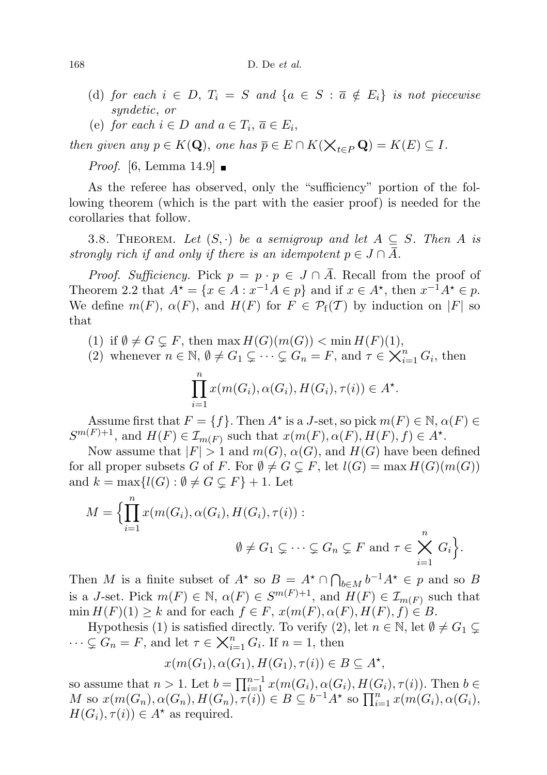- (d) for each  $i \in D$ ,  $T_i = S$  and  $\{a \in S : \overline{a} \notin E_i\}$  is not piecewise syndetic, or
- (e) for each  $i \in D$  and  $a \in T_i$ ,  $\overline{a} \in E_i$ ,

then given any  $p \in K(\mathbf{Q})$ , one has  $\overline{p} \in E \cap K(\mathbf{X}_{t \in P} \mathbf{Q}) = K(E) \subseteq I$ .

*Proof.* [6, Lemma 14.9]  $\blacksquare$ 

As the referee has observed, only the "sufficiency" portion of the following theorem (which is the part with the easier proof) is needed for the corollaries that follow.

3.8. THEOREM. Let  $(S, \cdot)$  be a semigroup and let  $A \subseteq S$ . Then A is strongly rich if and only if there is an idempotent  $p \in J \cap \overline{A}$ .

*Proof. Sufficiency.* Pick  $p = p \cdot p \in J \cap \overline{A}$ . Recall from the proof of Theorem 2.2 that  $A^* = \{x \in A : x^{-1}A \in p\}$  and if  $x \in A^*$ , then  $x^{-1}A^* \in p$ . We define  $m(F)$ ,  $\alpha(F)$ , and  $H(F)$  for  $F \in \mathcal{P}_f(\mathcal{T})$  by induction on |F| so that

- (1) if  $\emptyset \neq G \subsetneq F$ , then  $\max H(G)(m(G)) < \min H(F)(1)$ ,
- (2) whenever  $n \in \mathbb{N}$ ,  $\emptyset \neq G_1 \subsetneq \cdots \subsetneq G_n = F$ , and  $\tau \in \bigtimes_{i=1}^n G_i$ , then  $\prod^n$  $\frac{i=1}{i}$  $x(m(G_i), \alpha(G_i), H(G_i), \tau(i)) \in A^*$ .

Assume first that  $F = \{f\}$ . Then  $A^*$  is a J-set, so pick  $m(F) \in \mathbb{N}, \alpha(F) \in$  $S^{m(F)+1}$ , and  $H(F) \in \mathcal{I}_{m(F)}$  such that  $x(m(F), \alpha(F), H(F), f) \in A^*$ .

Now assume that  $|F| > 1$  and  $m(G), \alpha(G)$ , and  $H(G)$  have been defined for all proper subsets G of F. For  $\emptyset \neq G \subsetneq F$ , let  $l(G) = \max H(G)(m(G))$ and  $k = \max\{l(G) : \emptyset \neq G \subsetneq F\} + 1$ . Let

$$
M = \Big\{\prod_{i=1}^{n} x(m(G_i), \alpha(G_i), H(G_i), \tau(i)) : \emptyset \neq G_1 \subsetneq \cdots \subsetneq G_n \subsetneq F \text{ and } \tau \in \bigtimes_{i=1}^{n} G_i \Big\}.
$$

Then M is a finite subset of  $A^*$  so  $B = A^* \cap \bigcap_{b \in M} b^{-1}A^* \in p$  and so B is a J-set. Pick  $m(F) \in \mathbb{N}$ ,  $\alpha(F) \in S^{m(F)+1}$ , and  $H(F) \in \mathcal{I}_{m(F)}$  such that  $\min H(F)(1) \geq k$  and for each  $f \in F$ ,  $x(m(F), \alpha(F), H(F), f) \in B$ .

Hypothesis (1) is satisfied directly. To verify (2), let  $n \in \mathbb{N}$ , let  $\emptyset \neq G_1 \subsetneq$  $\cdots \subset G_n = F$ , and let  $\tau \in \bigtimes_{i=1}^n G_i$ . If  $n = 1$ , then

$$
x(m(G_1), \alpha(G_1), H(G_1), \tau(i)) \in B \subseteq A^\star,
$$

so assume that  $n > 1$ . Let  $b = \prod_{i=1}^{n-1} x(m(G_i), \alpha(G_i), H(G_i), \tau(i))$ . Then  $b \in$ M so  $x(m(G_n), \alpha(G_n), H(G_n), \tau(i)) \in B \subseteq b^{-1}A^*$  so  $\prod_{i=1}^n x(m(G_i), \alpha(G_i),$  $H(G_i), \tau(i)) \in A^*$  as required.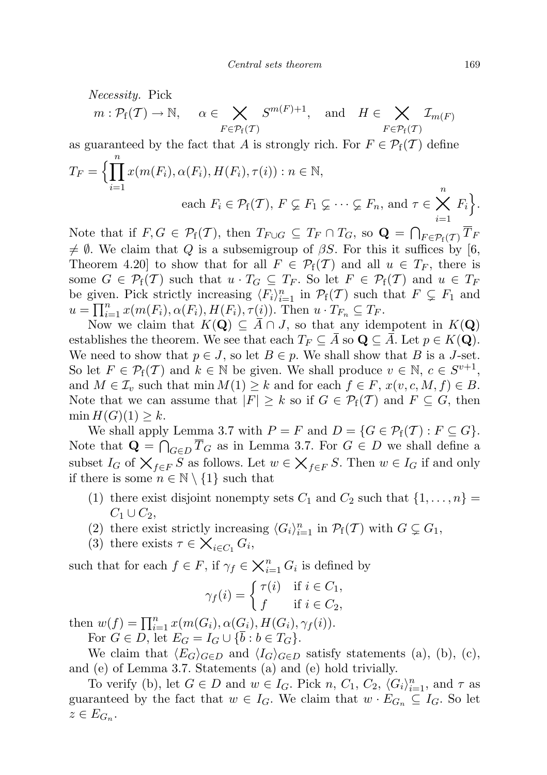Necessity. Pick

$$
m: \mathcal{P}_f(\mathcal{T}) \to \mathbb{N}, \quad \alpha \in \mathbb{X} \quad S^{m(F)+1}, \quad \text{and} \quad H \in \mathbb{X} \quad \mathcal{I}_{m(F)}
$$
  
 $F \in \mathcal{P}_f(\mathcal{T})$ 

as guaranteed by the fact that A is strongly rich. For  $F \in \mathcal{P}_f(\mathcal{T})$  define

$$
T_F = \Big\{\prod_{i=1}^n x(m(F_i), \alpha(F_i), H(F_i), \tau(i)) : n \in \mathbb{N},
$$
  
each  $F_i \in \mathcal{P}_f(\mathcal{T}), F \subsetneq F_1 \subsetneq \cdots \subsetneq F_n, \text{ and } \tau \in \bigtimes_{i=1}^n F_i \Big\}.$ 

Note that if  $F, G \in \mathcal{P}_f(\mathcal{T})$ , then  $T_{F \cup G} \subseteq T_F \cap T_G$ , so  $\mathbf{Q} = \bigcap_{F \in \mathcal{P}_f(\mathcal{T})} \overline{T}_F$  $\neq \emptyset$ . We claim that Q is a subsemigroup of  $\beta S$ . For this it suffices by [6, Theorem 4.20] to show that for all  $F \in \mathcal{P}_f(\mathcal{T})$  and all  $u \in T_F$ , there is some  $G \in \mathcal{P}_f(\mathcal{T})$  such that  $u \cdot T_G \subseteq T_F$ . So let  $F \in \mathcal{P}_f(\mathcal{T})$  and  $u \in T_F$ be given. Pick strictly increasing  $\langle F_i \rangle_{i=1}^n$  in  $\mathcal{P}_f(\mathcal{T})$  such that  $F \subsetneq F_1$  and  $u = \prod_{i=1}^n x(m(F_i), \alpha(F_i), H(F_i), \tau(i))$ . Then  $u \cdot T_{F_n} \subseteq T_F$ .

Now we claim that  $K(\mathbf{Q}) \subseteq \overline{A} \cap J$ , so that any idempotent in  $K(\mathbf{Q})$ establishes the theorem. We see that each  $T_F \subseteq \overline{A}$  so  $\mathbf{Q} \subseteq \overline{A}$ . Let  $p \in K(\mathbf{Q})$ . We need to show that  $p \in J$ , so let  $B \in p$ . We shall show that B is a J-set. So let  $F \in \mathcal{P}_{f}(\mathcal{T})$  and  $k \in \mathbb{N}$  be given. We shall produce  $v \in \mathbb{N}, c \in S^{v+1}$ , and  $M \in \mathcal{I}_v$  such that min  $M(1) \geq k$  and for each  $f \in F$ ,  $x(v, c, M, f) \in B$ . Note that we can assume that  $|F| \geq k$  so if  $G \in \mathcal{P}_{f}(\mathcal{T})$  and  $F \subseteq G$ , then  $\min H(G)(1) \geq k.$ 

We shall apply Lemma 3.7 with  $P = F$  and  $D = \{G \in \mathcal{P}_f(\mathcal{T}) : F \subseteq G\}.$ Note that  $\mathbf{Q} = \bigcap_{G \in D} \overline{T}_G$  as in Lemma 3.7. For  $G \in D$  we shall define a subset  $I_G$  of  $X_{f\in F} S$  as follows. Let  $w \in X_{f\in F} S$ . Then  $w \in I_G$  if and only if there is some  $n \in \mathbb{N} \setminus \{1\}$  such that

- (1) there exist disjoint nonempty sets  $C_1$  and  $C_2$  such that  $\{1, \ldots, n\}$  $C_1 \cup C_2$
- (2) there exist strictly increasing  $\langle G_i \rangle_{i=1}^n$  in  $\mathcal{P}_{f}(\mathcal{T})$  with  $G \subsetneq G_1$ ,
- (3) there exists  $\tau \in \mathsf{X}_{i \in C_1} G_i$ ,

such that for each  $f \in F$ , if  $\gamma_f \in \bigtimes_{i=1}^n G_i$  is defined by

$$
\gamma_f(i) = \begin{cases} \tau(i) & \text{if } i \in C_1, \\ f & \text{if } i \in C_2, \end{cases}
$$

then  $w(f) = \prod_{i=1}^{n} x(m(G_i), \alpha(G_i), H(G_i), \gamma_f(i)).$ For  $G \in D$ , let  $E_G = I_G \cup \{\overline{b} : b \in T_G\}$ .

We claim that  $\langle E_G \rangle_{G \in D}$  and  $\langle I_G \rangle_{G \in D}$  satisfy statements (a), (b), (c), and (e) of Lemma 3.7. Statements (a) and (e) hold trivially.

To verify (b), let  $G \in D$  and  $w \in I_G$ . Pick  $n, C_1, C_2, \langle G_i \rangle_{i=1}^n$ , and  $\tau$  as guaranteed by the fact that  $w \in I_G$ . We claim that  $w \cdot E_{G_n} \subseteq I_G$ . So let  $z \in E_{G_n}.$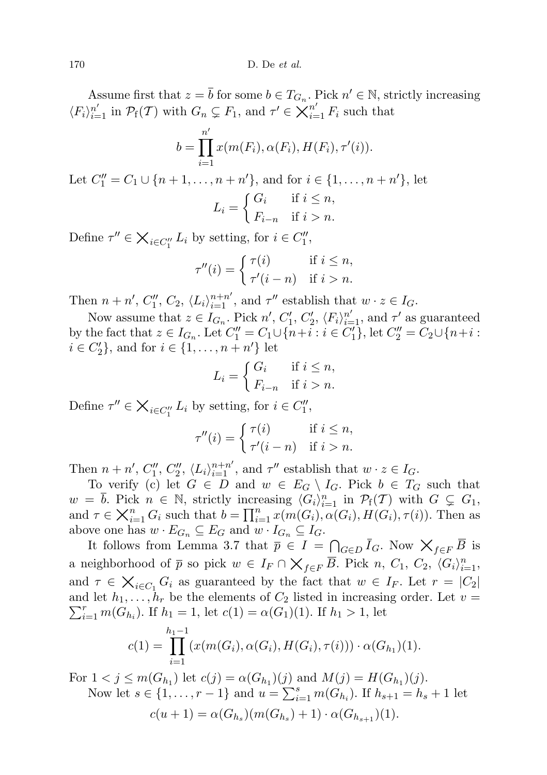Assume first that  $z = \overline{b}$  for some  $b \in T_{G_n}$ . Pick  $n' \in \mathbb{N}$ , strictly increasing  $\langle F_i \rangle_{i=1}^{n'}$  in  $\mathcal{P}_f(\mathcal{T})$  with  $G_n \subsetneq F_1$ , and  $\tau' \in \bigtimes_{i=1}^{n'} F_i$  such that

$$
b = \prod_{i=1}^{n'} x(m(F_i), \alpha(F_i), H(F_i), \tau'(i)).
$$

Let  $C_1'' = C_1 \cup \{n+1, \ldots, n+n'\}$ , and for  $i \in \{1, \ldots, n+n'\}$ , let

$$
L_i = \begin{cases} G_i & \text{if } i \leq n, \\ F_{i-n} & \text{if } i > n. \end{cases}
$$

Define  $\tau'' \in \bigtimes_{i \in C''_1} L_i$  by setting, for  $i \in C''_1$ ,

$$
\tau''(i) = \begin{cases} \tau(i) & \text{if } i \leq n, \\ \tau'(i-n) & \text{if } i > n. \end{cases}
$$

Then  $n + n'$ ,  $C_1''$ ,  $C_2$ ,  $\langle L_i \rangle_{i=1}^{n+n'}$ , and  $\tau''$  establish that  $w \cdot z \in I_G$ .

Now assume that  $z \in I_{G_n}$ . Pick  $n'$ ,  $C'_1$ ,  $C'_2$ ,  $\langle F_i \rangle_{i=1}^{n'}$ , and  $\tau'$  as guaranteed by the fact that  $z \in I_{G_n}$ . Let  $C_1'' = C_1 \cup \{n+i : i \in C_1'\}$ , let  $C_2'' = C_2 \cup \{n+i : i \in C_2''\}$  $i \in C'_2$ , and for  $i \in \{1, \ldots, n+n'\}$  let

$$
L_i = \begin{cases} G_i & \text{if } i \leq n, \\ F_{i-n} & \text{if } i > n. \end{cases}
$$

Define  $\tau'' \in \bigtimes_{i \in C''_1} L_i$  by setting, for  $i \in C''_1$ ,

$$
\tau''(i) = \begin{cases} \tau(i) & \text{if } i \leq n, \\ \tau'(i-n) & \text{if } i > n. \end{cases}
$$

Then  $n + n'$ ,  $C_1'', C_2'', \langle L_i \rangle_{i=1}^{n+n'}$ , and  $\tau''$  establish that  $w \cdot z \in I_G$ .

To verify (c) let  $G \in D$  and  $w \in E_G \setminus I_G$ . Pick  $b \in T_G$  such that  $w = \overline{b}$ . Pick  $n \in \mathbb{N}$ , strictly increasing  $\langle G_i \rangle_{i=1}^n$  in  $\mathcal{P}_f(\mathcal{T})$  with  $G \subsetneq G_1$ , and  $\tau \in \mathcal{X}_{i=1}^n G_i$  such that  $b = \prod_{i=1}^n x(m(G_i), \alpha(G_i), H(G_i), \tau(i))$ . Then as above one has  $w \cdot E_{G_n} \subseteq E_G$  and  $w \cdot I_{G_n} \subseteq I_G$ .

It follows from Lemma 3.7 that  $\overline{p} \in I = \bigcap_{G \in D} \overline{I}_G$ . Now  $X_{f \in F} \overline{B}$  is a neighborhood of  $\bar{p}$  so pick  $w \in I_F \cap \mathsf{X}_{f \in F}$   $\overline{B}$ . Pick  $n, C_1, C_2, \langle G_i \rangle_{i=1}^n$ , and  $\tau \in \mathsf{X}_{i \in C_1} G_i$  as guaranteed by the fact that  $w \in I_F$ . Let  $r = |C_2|$ and let  $h_1, \ldots, h_r$  be the elements of  $C_2$  listed in increasing order. Let  $v =$  $\sum_{i=1}^r m(G_{h_i})$ . If  $h_1 = 1$ , let  $c(1) = \alpha(G_1)(1)$ . If  $h_1 > 1$ , let

$$
c(1) = \prod_{i=1}^{h_1-1} (x(m(G_i), \alpha(G_i), H(G_i), \tau(i))) \cdot \alpha(G_{h_1})(1).
$$

For  $1 < j \le m(G_{h_1})$  let  $c(j) = \alpha(G_{h_1})(j)$  and  $M(j) = H(G_{h_1})(j)$ . Now let  $s \in \{1, ..., r-1\}$  and  $u = \sum_{i=1}^{s} m(G_{h_i})$ . If  $h_{s+1} = h_s + 1$  let  $c(u + 1) = \alpha(G_{h_s})(m(G_{h_s}) + 1) \cdot \alpha(G_{h_{s+1}})(1).$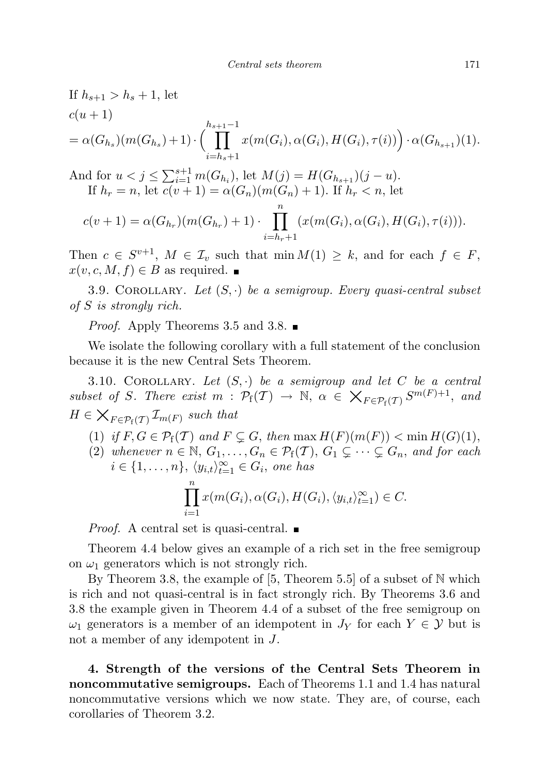If 
$$
h_{s+1} > h_s + 1
$$
, let  
\n
$$
c(u+1) = \alpha(G_{h_s})(m(G_{h_s}) + 1) \cdot \left( \prod_{i=h_s+1}^{h_{s+1}-1} x(m(G_i), \alpha(G_i), H(G_i), \tau(i)) \right) \cdot \alpha(G_{h_{s+1}})(1).
$$

And for  $u < j \le \sum_{i=1}^{s+1} m(G_{h_i})$ , let  $M(j) = H(G_{h_{s+1}})(j-u)$ . If  $h_r = n$ , let  $c(v+1) = \alpha(G_n)(m(G_n)+1)$ . If  $h_r < n$ , let

$$
c(v+1) = \alpha(G_{h_r})(m(G_{h_r}) + 1) \cdot \prod_{i=h_r+1}^{n} (x(m(G_i), \alpha(G_i), H(G_i), \tau(i))).
$$

Then  $c \in S^{v+1}$ ,  $M \in \mathcal{I}_v$  such that  $\min M(1) \geq k$ , and for each  $f \in F$ ,  $x(v, c, M, f) \in B$  as required.

3.9. COROLLARY. Let  $(S, \cdot)$  be a semigroup. Every quasi-central subset of S is strongly rich.

*Proof.* Apply Theorems 3.5 and 3.8.

We isolate the following corollary with a full statement of the conclusion because it is the new Central Sets Theorem.

3.10. COROLLARY. Let  $(S, \cdot)$  be a semigroup and let C be a central subset of S. There exist  $m : \mathcal{P}_f(\mathcal{T}) \to \mathbb{N}, \alpha \in \mathbb{X}_{F \in \mathcal{P}_f(\mathcal{T})} S^{m(F)+1}$ , and  $H \in \bigtimes_{F \in \mathcal{P}_{f}(\mathcal{T})} \mathcal{I}_{m(F)}$  such that

- (1) if  $F, G \in \mathcal{P}_f(\mathcal{T})$  and  $F \subsetneq G$ , then  $\max H(F)(m(F)) < \min H(G)(1)$ ,
- (2) whenever  $n \in \mathbb{N}$ ,  $G_1, \ldots, G_n \in \mathcal{P}_{f}(T)$ ,  $G_1 \subsetneq \cdots \subsetneq G_n$ , and for each  $i \in \{1, \ldots, n\}, \, \langle y_{i,t} \rangle_{t=1}^{\infty} \in G_i, \text{ one has}$

$$
\prod_{i=1}^{n} x(m(G_i), \alpha(G_i), H(G_i), \langle y_{i,t} \rangle_{t=1}^{\infty}) \in C.
$$

*Proof.* A central set is quasi-central.

Theorem 4.4 below gives an example of a rich set in the free semigroup on  $\omega_1$  generators which is not strongly rich.

By Theorem 3.8, the example of [5, Theorem 5.5] of a subset of N which is rich and not quasi-central is in fact strongly rich. By Theorems 3.6 and 3.8 the example given in Theorem 4.4 of a subset of the free semigroup on  $\omega_1$  generators is a member of an idempotent in  $J_Y$  for each  $Y \in \mathcal{Y}$  but is not a member of any idempotent in J.

4. Strength of the versions of the Central Sets Theorem in noncommutative semigroups. Each of Theorems 1.1 and 1.4 has natural noncommutative versions which we now state. They are, of course, each corollaries of Theorem 3.2.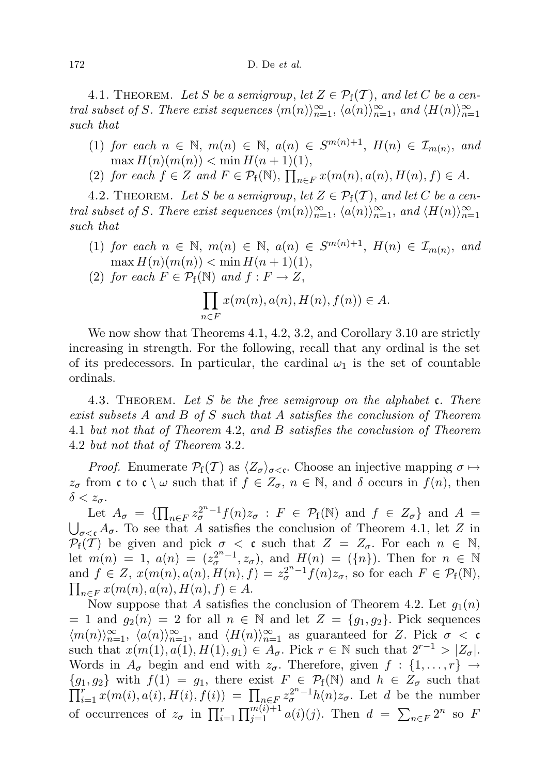4.1. THEOREM. Let S be a semigroup, let  $Z \in \mathcal{P}_f(\mathcal{T})$ , and let C be a central subset of S. There exist sequences  $\langle m(n) \rangle_{n=1}^{\infty}$ ,  $\langle a(n) \rangle_{n=1}^{\infty}$ , and  $\langle H(n) \rangle_{n=1}^{\infty}$ such that

- (1) for each  $n \in \mathbb{N}$ ,  $m(n) \in \mathbb{N}$ ,  $a(n) \in S^{m(n)+1}$ ,  $H(n) \in \mathcal{I}_{m(n)}$ , and  $\max H(n)(m(n)) < \min H(n+1)(1),$
- (2) for each  $f \in Z$  and  $F \in \mathcal{P}_{f}(\mathbb{N}), \prod_{n \in F} x(m(n), a(n), H(n), f) \in A$ .

4.2. THEOREM. Let S be a semigroup, let  $Z \in \mathcal{P}_f(\mathcal{T})$ , and let C be a central subset of S. There exist sequences  $\langle m(n) \rangle_{n=1}^{\infty}$ ,  $\langle a(n) \rangle_{n=1}^{\infty}$ , and  $\langle H(n) \rangle_{n=1}^{\infty}$ such that

- (1) for each  $n \in \mathbb{N}$ ,  $m(n) \in \mathbb{N}$ ,  $a(n) \in S^{m(n)+1}$ ,  $H(n) \in \mathcal{I}_{m(n)}$ , and  $\max H(n)(m(n)) < \min H(n+1)(1),$
- (2) for each  $F \in \mathcal{P}_{f}(\mathbb{N})$  and  $f : F \to Z$ ,

$$
\prod_{n \in F} x(m(n), a(n), H(n), f(n)) \in A.
$$

We now show that Theorems 4.1, 4.2, 3.2, and Corollary 3.10 are strictly increasing in strength. For the following, recall that any ordinal is the set of its predecessors. In particular, the cardinal  $\omega_1$  is the set of countable ordinals.

4.3. THEOREM. Let S be the free semigroup on the alphabet  $\mathfrak{c}$ . There exist subsets A and B of S such that A satisfies the conclusion of Theorem 4.1 but not that of Theorem 4.2, and B satisfies the conclusion of Theorem 4.2 but not that of Theorem 3.2.

*Proof.* Enumerate  $\mathcal{P}_f(\mathcal{T})$  as  $\langle Z_{\sigma} \rangle_{\sigma < \mathfrak{c}}$ . Choose an injective mapping  $\sigma \mapsto$  $z_{\sigma}$  from c to c \  $\omega$  such that if  $f \in Z_{\sigma}$ ,  $n \in \mathbb{N}$ , and  $\delta$  occurs in  $f(n)$ , then  $\delta < z_{\sigma}.$ 

Let  $A_{\sigma} = {\prod_{n \in F} z_{\sigma}^{2^n - 1} f(n) z_{\sigma} : F \in \mathcal{P}_{f}(\mathbb{N}) \text{ and } f \in Z_{\sigma}}$  and  $A =$  $\bigcup_{\sigma<\mathfrak{c}} A_{\sigma}$ . To see that A satisfies the conclusion of Theorem 4.1, let Z in  $\mathcal{P}_f(\mathcal{T})$  be given and pick  $\sigma < \mathfrak{c}$  such that  $Z = Z_{\sigma}$ . For each  $n \in \mathbb{N}$ , let  $m(n) = 1$ ,  $a(n) = (z_\sigma^{2^{n}-1}, z_\sigma)$ , and  $H(n) = (\lbrace n \rbrace)$ . Then for  $n \in \mathbb{N}$ and  $f \in Z$ ,  $x(m(n), a(n), H(n), f) = z_{\sigma}^{2^{n}-1} f(n) z_{\sigma}$ , so for each  $F \in \mathcal{P}_{f}(\mathbb{N})$ , and  $f \in \mathbb{Z}$ ,  $x(m(n), a(n), H(n), J) - z_{\sigma}$ <br>  $\prod_{n \in F} x(m(n), a(n), H(n), f) \in A$ .

Now suppose that A satisfies the conclusion of Theorem 4.2. Let  $g_1(n)$ = 1 and  $g_2(n) = 2$  for all  $n \in \mathbb{N}$  and let  $Z = \{g_1, g_2\}$ . Pick sequences  $\langle m(n) \rangle_{n=1}^{\infty}$ ,  $\langle a(n) \rangle_{n=1}^{\infty}$ , and  $\langle H(n) \rangle_{n=1}^{\infty}$  as guaranteed for Z. Pick  $\sigma < \mathfrak{c}$ such that  $x(m(1), a(1), H(1), g_1) \in A_\sigma$ . Pick  $r \in \mathbb{N}$  such that  $2^{r-1} > |Z_\sigma|$ . Words in  $A_{\sigma}$  begin and end with  $z_{\sigma}$ . Therefore, given  $f: \{1, \ldots, r\} \rightarrow$  ${g_1, g_2}$  with  $f(1) = g_1$ , there exist  $F \in \mathcal{P}_f(\mathbb{N})$  and  $h \in \mathbb{Z}_{\sigma}$  such that  $\prod_{i=1}^r x(m(i), a(i), H(i), f(i)) = \prod_{n \in F} z_{\sigma}^{2^{n}-1} h(n) z_{\sigma}$ . Let d be the number of occurrences of  $z_{\sigma}$  in  $\prod_{i=1}^{r} \prod_{j=1}^{m(i)+1} a(i)(j)$ . Then  $d = \sum_{n \in F} 2^{n}$  so F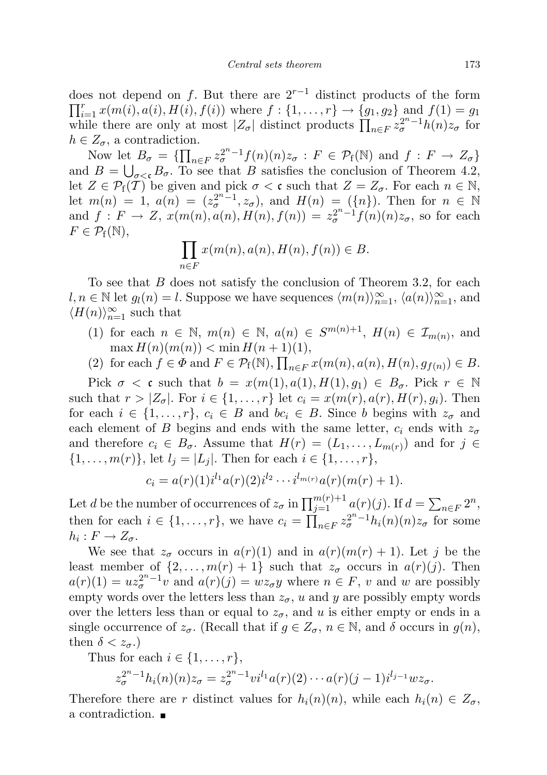does not depend on f. But there are  $2^{r-1}$  distinct products of the form  $\prod_{i=1}^r x(m(i), a(i), H(i), f(i))$  where  $f : \{1, \ldots, r\} \to \{g_1, g_2\}$  and  $f(1) = g_1$ while there are only at most  $|Z_{\sigma}|$  distinct products  $\prod_{n\in F} z_{\sigma}^{2^n-1} h(n)z_{\sigma}$  for  $h \in Z_{\sigma}$ , a contradiction.

Now let  $B_{\sigma} = \{\prod_{n \in F} z_{\sigma}^{2^n - 1} f(n)(n)z_{\sigma} : F \in \mathcal{P}_{f}(\mathbb{N}) \text{ and } f : F \to Z_{\sigma}\}\$ and  $B = \bigcup_{\sigma < \mathfrak{c}} B_{\sigma}$ . To see that B satisfies the conclusion of Theorem 4.2, let  $Z \in \mathcal{P}_f(\mathcal{T})$  be given and pick  $\sigma < \mathfrak{c}$  such that  $Z = Z_{\sigma}$ . For each  $n \in \mathbb{N}$ , let  $m(n) = 1, a(n) = (z_\sigma^{2^{n}-1}, z_\sigma), \text{ and } H(n) = (\{n\}).$  Then for  $n \in \mathbb{N}$ and  $f: F \to Z$ ,  $x(m(n), a(n), H(n), f(n)) = z_{\sigma}^{2^{n}-1} f(n)(n) z_{\sigma}$ , so for each  $F \in \mathcal{P}_{f}(\mathbb{N}),$ 

$$
\prod_{n \in F} x(m(n), a(n), H(n), f(n)) \in B.
$$

To see that B does not satisfy the conclusion of Theorem 3.2, for each  $l, n \in \mathbb{N}$  let  $g_l(n) = l$ . Suppose we have sequences  $\langle m(n) \rangle_{n=1}^{\infty}$ ,  $\langle a(n) \rangle_{n=1}^{\infty}$ , and  $\langle H(n) \rangle_{n=1}^\infty$  such that

- (1) for each  $n \in \mathbb{N}$ ,  $m(n) \in \mathbb{N}$ ,  $a(n) \in S^{m(n)+1}$ ,  $H(n) \in \mathcal{I}_{m(n)}$ , and  $\max H(n)(m(n)) < \min H(n+1)(1),$
- (2) for each  $f \in \Phi$  and  $F \in \mathcal{P}_{f}(\mathbb{N}), \prod_{n \in F} x(m(n), a(n), H(n), g_{f(n)}) \in B$ .

Pick  $\sigma < \mathfrak{c}$  such that  $b = x(m(1), a(1), H(1), g_1) \in B_{\sigma}$ . Pick  $r \in \mathbb{N}$ such that  $r > |Z_{\sigma}|$ . For  $i \in \{1, \ldots, r\}$  let  $c_i = x(m(r), a(r), H(r), g_i)$ . Then for each  $i \in \{1, \ldots, r\}, c_i \in B$  and  $bc_i \in B$ . Since b begins with  $z_{\sigma}$  and each element of B begins and ends with the same letter,  $c_i$  ends with  $z_\sigma$ and therefore  $c_i \in B_{\sigma}$ . Assume that  $H(r) = (L_1, \ldots, L_{m(r)})$  and for  $j \in$  $\{1, \ldots, m(r)\}\,$  let  $l_j = |L_j|$ . Then for each  $i \in \{1, \ldots, r\}\,$ 

$$
c_i = a(r)(1)i^{l_1}a(r)(2)i^{l_2}\cdots i^{l_{m(r)}}a(r)(m(r)+1).
$$

Let d be the number of occurrences of  $z_{\sigma}$  in  $\prod_{j=1}^{m(r)+1} a(r)(j)$ . If  $d = \sum_{n \in F} 2^n$ , then for each  $i \in \{1, ..., r\}$ , we have  $c_i = \prod_{n \in F} z_{\sigma}^{2^n - 1} h_i(n)(n) z_{\sigma}$  for some  $h_i: F \to Z_\sigma.$ 

We see that  $z_{\sigma}$  occurs in  $a(r)(1)$  and in  $a(r)(m(r) + 1)$ . Let j be the least member of  $\{2,\ldots,m(r)+1\}$  such that  $z_{\sigma}$  occurs in  $a(r)(j)$ . Then  $a(r)(1) = uz_{\sigma}^{2^n-1}v$  and  $a(r)(j) = wz_{\sigma}y$  where  $n \in F$ , v and w are possibly empty words over the letters less than  $z_{\sigma}$ , u and y are possibly empty words over the letters less than or equal to  $z_{\sigma}$ , and u is either empty or ends in a single occurrence of  $z_{\sigma}$ . (Recall that if  $g \in Z_{\sigma}$ ,  $n \in \mathbb{N}$ , and  $\delta$  occurs in  $g(n)$ , then  $\delta < z_{\sigma}$ .)

Thus for each  $i \in \{1, \ldots, r\},\$ 

$$
z_{\sigma}^{2^{n}-1}h_i(n)(n)z_{\sigma} = z_{\sigma}^{2^{n}-1}v i^{l_1} a(r)(2) \cdots a(r)(j-1)i^{l_{j-1}}w z_{\sigma}.
$$

Therefore there are r distinct values for  $h_i(n)(n)$ , while each  $h_i(n) \in Z_{\sigma}$ , a contradiction.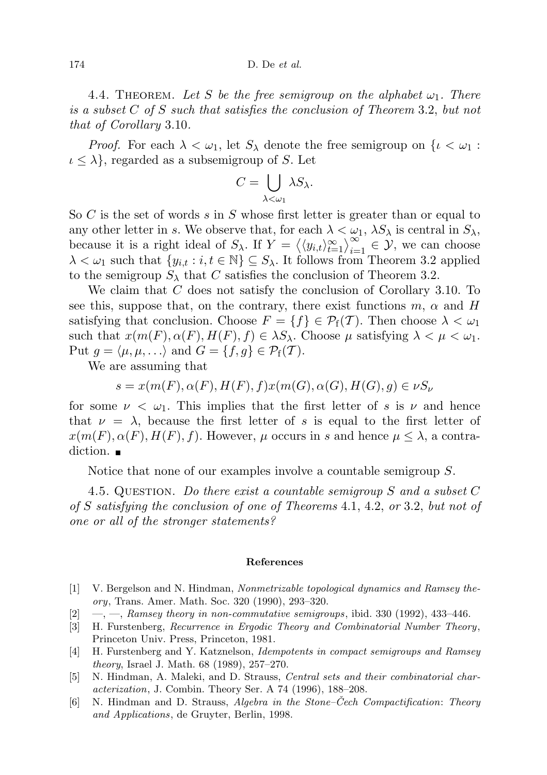4.4. THEOREM. Let S be the free semigroup on the alphabet  $\omega_1$ . There is a subset C of S such that satisfies the conclusion of Theorem 3.2, but not that of Corollary 3.10.

*Proof.* For each  $\lambda < \omega_1$ , let  $S_\lambda$  denote the free semigroup on  $\{ \iota < \omega_1 :$  $i \leq \lambda$ , regarded as a subsemigroup of S. Let

$$
C=\bigcup_{\lambda<\omega_1}\lambda S_\lambda.
$$

So C is the set of words s in S whose first letter is greater than or equal to any other letter in s. We observe that, for each  $\lambda < \omega_1$ ,  $\lambda S_\lambda$  is central in  $S_\lambda$ , because it is a right ideal of  $S_\lambda$ . If  $Y = \langle \langle y_{i,t} \rangle_{t=1}^\infty \rangle_{i=1}^\infty \in \mathcal{Y}$ , we can choose  $\lambda < \omega_1$  such that  $\{y_{i,t} : i, t \in \mathbb{N}\} \subseteq S_\lambda$ . It follows from Theorem 3.2 applied to the semigroup  $S_{\lambda}$  that C satisfies the conclusion of Theorem 3.2.

We claim that C does not satisfy the conclusion of Corollary 3.10. To see this, suppose that, on the contrary, there exist functions  $m$ ,  $\alpha$  and H satisfying that conclusion. Choose  $F = \{f\} \in \mathcal{P}_f(\mathcal{T})$ . Then choose  $\lambda < \omega_1$ such that  $x(m(F), \alpha(F), H(F), f) \in \lambda S_\lambda$ . Choose  $\mu$  satisfying  $\lambda < \mu < \omega_1$ . Put  $g = \langle \mu, \mu, \ldots \rangle$  and  $G = \{f, g\} \in \mathcal{P}_f(\mathcal{T})$ .

We are assuming that

 $s = x(m(F), \alpha(F), H(F), f)x(m(G), \alpha(G), H(G), g) \in \nu S_{\nu}$ 

for some  $\nu < \omega_1$ . This implies that the first letter of s is  $\nu$  and hence that  $\nu = \lambda$ , because the first letter of s is equal to the first letter of  $x(m(F), \alpha(F), H(F), f)$ . However,  $\mu$  occurs in s and hence  $\mu \leq \lambda$ , a contradiction.  $\blacksquare$ 

Notice that none of our examples involve a countable semigroup S.

4.5. QUESTION. Do there exist a countable semigroup S and a subset C of S satisfying the conclusion of one of Theorems 4.1, 4.2, or 3.2, but not of one or all of the stronger statements?

## References

- [1] V. Bergelson and N. Hindman, Nonmetrizable topological dynamics and Ramsey theory, Trans. Amer. Math. Soc. 320 (1990), 293–320.
- $[2] \quad -$ , Ramsey theory in non-commutative semigroups, ibid. 330 (1992), 433-446.
- [3] H. Furstenberg, Recurrence in Ergodic Theory and Combinatorial Number Theory, Princeton Univ. Press, Princeton, 1981.
- [4] H. Furstenberg and Y. Katznelson, Idempotents in compact semigroups and Ramsey theory, Israel J. Math. 68 (1989), 257–270.
- [5] N. Hindman, A. Maleki, and D. Strauss, Central sets and their combinatorial characterization, J. Combin. Theory Ser. A 74 (1996), 188–208.
- [6] N. Hindman and D. Strauss, Algebra in the Stone–Cech Compactification: Theory and Applications, de Gruyter, Berlin, 1998.